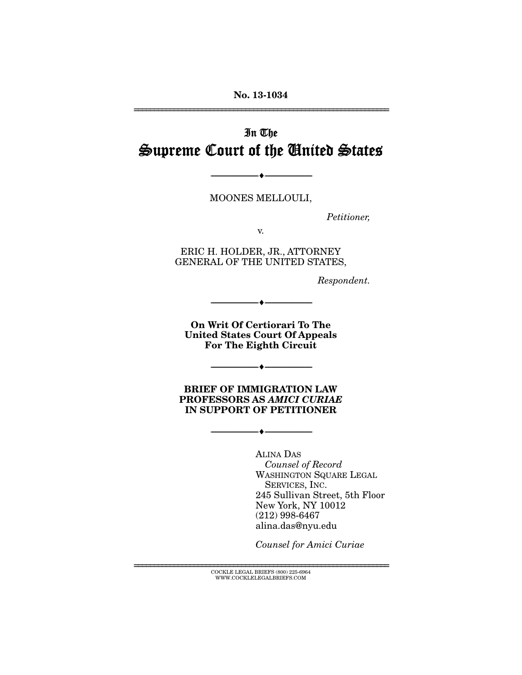# In The Supreme Court of the United States

MOONES MELLOULI,

--------------------------------- ---------------------------------

*Petitioner,* 

v.

ERIC H. HOLDER, JR., ATTORNEY GENERAL OF THE UNITED STATES,

*Respondent.* 

**On Writ Of Certiorari To The United States Court Of Appeals For The Eighth Circuit** 

--------------------------------- ---------------------------------

--------------------------------- ---------------------------------

**BRIEF OF IMMIGRATION LAW PROFESSORS AS** *AMICI CURIAE* **IN SUPPORT OF PETITIONER** 

--------------------------------- ---------------------------------

ALINA DAS  *Counsel of Record*  WASHINGTON SQUARE LEGAL SERVICES, INC. 245 Sullivan Street, 5th Floor New York, NY 10012 (212) 998-6467 alina.das@nyu.edu

*Counsel for Amici Curiae* 

================================================================ COCKLE LEGAL BRIEFS (800) 225-6964 WWW.COCKLELEGALBRIEFS.COM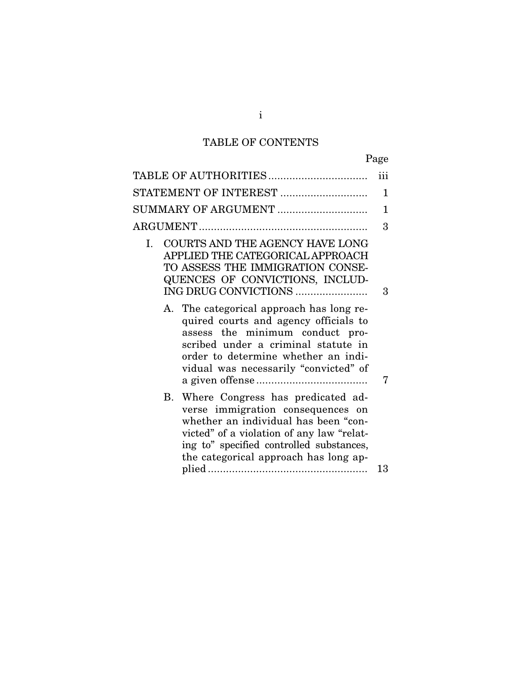## TABLE OF CONTENTS

| TABLE OF AUTHORITIES                                                                                                                                                                                                                                | iii |
|-----------------------------------------------------------------------------------------------------------------------------------------------------------------------------------------------------------------------------------------------------|-----|
| STATEMENT OF INTEREST                                                                                                                                                                                                                               | 1   |
| SUMMARY OF ARGUMENT                                                                                                                                                                                                                                 | 1   |
|                                                                                                                                                                                                                                                     | 3   |
| COURTS AND THE AGENCY HAVE LONG<br>L.<br>APPLIED THE CATEGORICAL APPROACH<br>TO ASSESS THE IMMIGRATION CONSE-<br>QUENCES OF CONVICTIONS, INCLUD-<br>ING DRUG CONVICTIONS                                                                            | 3   |
| A. The categorical approach has long re-<br>quired courts and agency officials to<br>assess the minimum conduct pro-<br>scribed under a criminal statute in<br>order to determine whether an indi-<br>vidual was necessarily "convicted" of         | 7   |
| B. Where Congress has predicated ad-<br>verse immigration consequences on<br>whether an individual has been "con-<br>victed" of a violation of any law "relat-<br>ing to" specified controlled substances,<br>the categorical approach has long ap- |     |
|                                                                                                                                                                                                                                                     | 13  |

i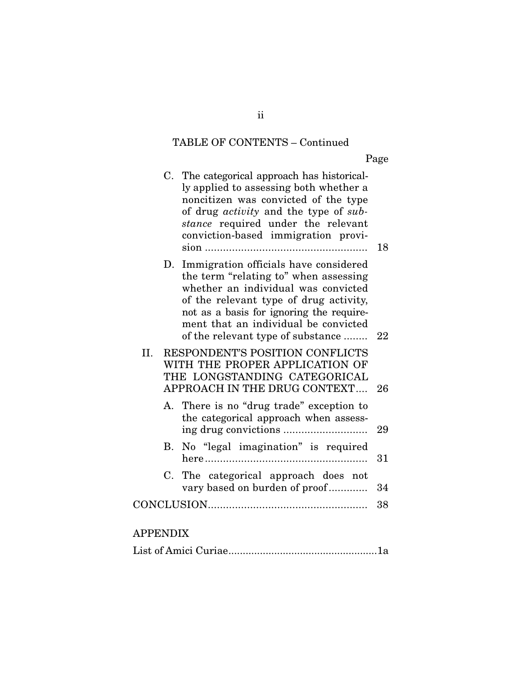# TABLE OF CONTENTS – Continued

Page

|          |             | C. The categorical approach has historical-<br>ly applied to assessing both whether a<br>noncitizen was convicted of the type<br>of drug <i>activity</i> and the type of sub-<br>stance required under the relevant<br>conviction-based immigration provi-                               | 18 |
|----------|-------------|------------------------------------------------------------------------------------------------------------------------------------------------------------------------------------------------------------------------------------------------------------------------------------------|----|
|          | D.          | Immigration officials have considered<br>the term "relating to" when assessing<br>whether an individual was convicted<br>of the relevant type of drug activity,<br>not as a basis for ignoring the require-<br>ment that an individual be convicted<br>of the relevant type of substance | 22 |
| II.      |             | RESPONDENT'S POSITION CONFLICTS<br>WITH THE PROPER APPLICATION OF<br>THE LONGSTANDING CATEGORICAL<br>APPROACH IN THE DRUG CONTEXT                                                                                                                                                        | 26 |
|          | А.          | There is no "drug trade" exception to<br>the categorical approach when assess-                                                                                                                                                                                                           | 29 |
|          | В.          | No "legal imagination" is required                                                                                                                                                                                                                                                       | 31 |
|          | $C_{\cdot}$ | The categorical approach does not<br>vary based on burden of proof                                                                                                                                                                                                                       | 34 |
|          |             |                                                                                                                                                                                                                                                                                          | 38 |
| APPENDIX |             |                                                                                                                                                                                                                                                                                          |    |

|--|--|

ii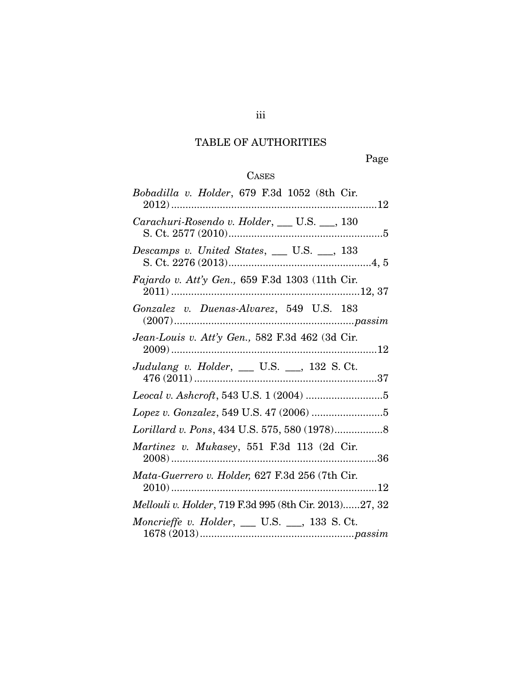# TABLE OF AUTHORITIES

Page

# CASES

| Bobadilla v. Holder, 679 F.3d 1052 (8th Cir.           |
|--------------------------------------------------------|
| Carachuri-Rosendo v. Holder, __ U.S. __, 130           |
| Descamps v. United States, $\_\_$ U.S. $\_\_$ , 133    |
| Fajardo v. Att'y Gen., 659 F.3d 1303 (11th Cir.        |
| Gonzalez v. Duenas-Alvarez, 549 U.S. 183               |
| Jean-Louis v. Att'y Gen., 582 F.3d 462 (3d Cir.        |
| Judulang v. Holder, __ U.S. __, 132 S.Ct.              |
|                                                        |
|                                                        |
|                                                        |
| Martinez v. Mukasey, 551 F.3d 113 (2d Cir.             |
| Mata-Guerrero v. Holder, 627 F.3d 256 (7th Cir.        |
| Mellouli v. Holder, 719 F.3d 995 (8th Cir. 2013)27, 32 |
| Moncrieffe v. Holder, $\_\_$ U.S. $\_\_$ , 133 S.Ct.   |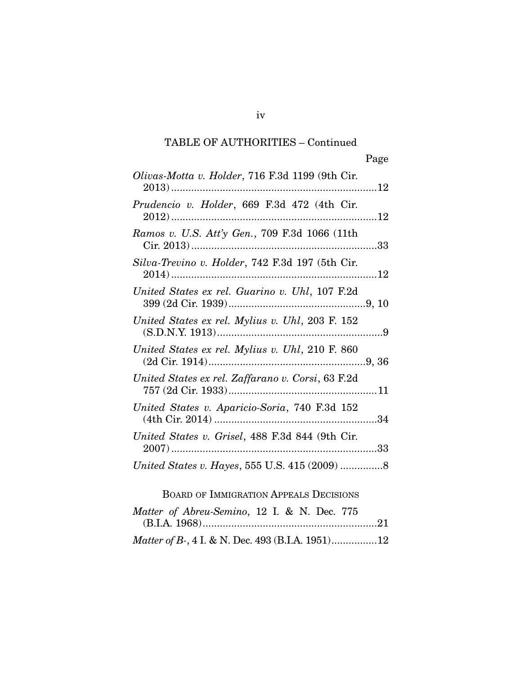| Olivas-Motta v. Holder, 716 F.3d 1199 (9th Cir.   |  |
|---------------------------------------------------|--|
| Prudencio v. Holder, 669 F.3d 472 (4th Cir.       |  |
| Ramos v. U.S. Att'y Gen., 709 F.3d 1066 (11th     |  |
| Silva-Trevino v. Holder, 742 F.3d 197 (5th Cir.   |  |
| United States ex rel. Guarino v. Uhl, 107 F.2d    |  |
| United States ex rel. Mylius v. Uhl, 203 F. 152   |  |
| United States ex rel. Mylius v. Uhl, 210 F. 860   |  |
| United States ex rel. Zaffarano v. Corsi, 63 F.2d |  |
| United States v. Aparicio-Soria, 740 F.3d 152     |  |
| United States v. Grisel, 488 F.3d 844 (9th Cir.   |  |
| United States v. Hayes, 555 U.S. 415 (2009) 8     |  |

# BOARD OF IMMIGRATION APPEALS DECISIONS

| Matter of Abreu-Semino, 12 I. & N. Dec. 775      |  |  |  |  |
|--------------------------------------------------|--|--|--|--|
|                                                  |  |  |  |  |
| Matter of B-, 4 I. & N. Dec. 493 (B.I.A. 1951)12 |  |  |  |  |

iv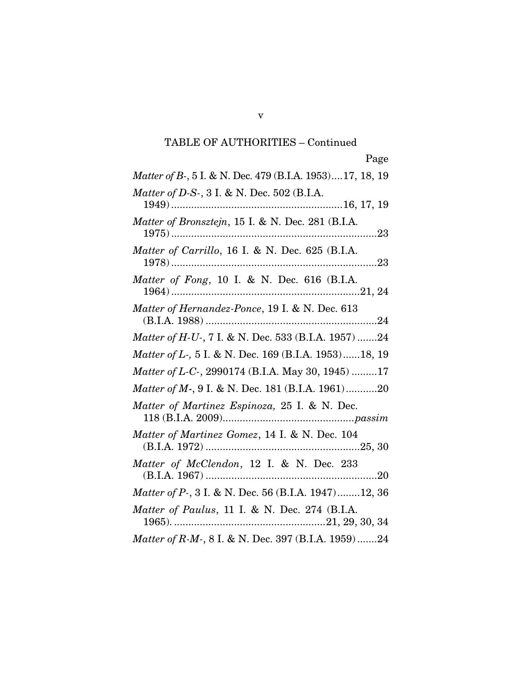| Matter of B-, 5 I. & N. Dec. 479 (B.I.A. 1953)17, 18, 19 |
|----------------------------------------------------------|
| Matter of D-S-, 3 I. & N. Dec. 502 (B.I.A.               |
| Matter of Bronsztejn, 15 I. & N. Dec. 281 (B.I.A.        |
| Matter of Carrillo, 16 I. & N. Dec. 625 (B.I.A.          |
| Matter of Fong, 10 I. & N. Dec. 616 (B.I.A.              |
| Matter of Hernandez-Ponce, 19 I. & N. Dec. 613           |
| Matter of H-U-, 7 I. & N. Dec. 533 (B.I.A. 1957) 24      |
| Matter of L-, 5 I. & N. Dec. 169 (B.I.A. 1953)18, 19     |
| Matter of L-C-, 2990174 (B.I.A. May 30, 1945) 17         |
| Matter of M-, 9 I. & N. Dec. 181 (B.I.A. 1961)20         |
| Matter of Martinez Espinoza, 25 I. & N. Dec.             |
| Matter of Martinez Gomez, 14 I. & N. Dec. 104            |
| Matter of McClendon, 12 I. & N. Dec. 233                 |
| Matter of P-, 3 I. & N. Dec. 56 (B.I.A. 1947)12, 36      |
| Matter of Paulus, 11 I. & N. Dec. 274 (B.I.A.            |
| Matter of R-M-, 8 I. & N. Dec. 397 (B.I.A. 1959)24       |

v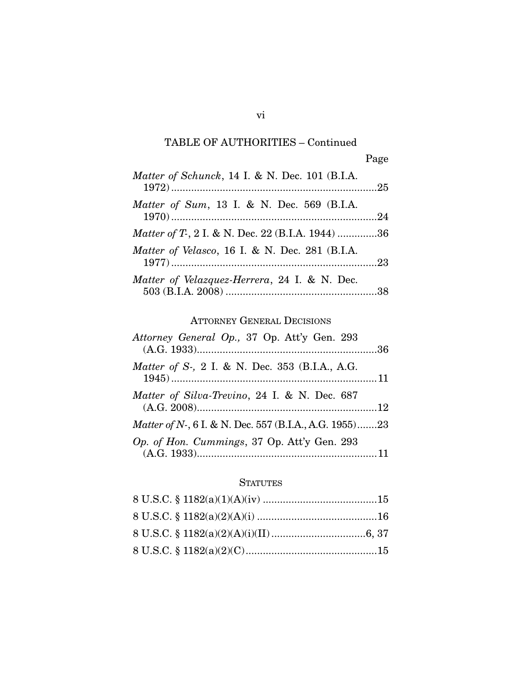| Matter of Schunck, 14 I. & N. Dec. 101 (B.I.A.  |  |
|-------------------------------------------------|--|
| Matter of Sum, 13 I. & N. Dec. 569 (B.I.A.      |  |
| Matter of T, 2 I. & N. Dec. 22 (B.I.A. 1944) 36 |  |
| Matter of Velasco, 16 I. & N. Dec. 281 (B.I.A.  |  |
| Matter of Velazquez-Herrera, 24 I. & N. Dec.    |  |

## ATTORNEY GENERAL DECISIONS

| Attorney General Op., 37 Op. Att'y Gen. 293            |  |
|--------------------------------------------------------|--|
| Matter of S-, 2 I. & N. Dec. 353 (B.I.A., A.G.         |  |
| Matter of Silva-Trevino, 24 I. & N. Dec. 687           |  |
| Matter of N-, 6 I. & N. Dec. 557 (B.I.A., A.G. 1955)23 |  |
| Op. of Hon. Cummings, 37 Op. Att'y Gen. 293            |  |

### **STATUTES**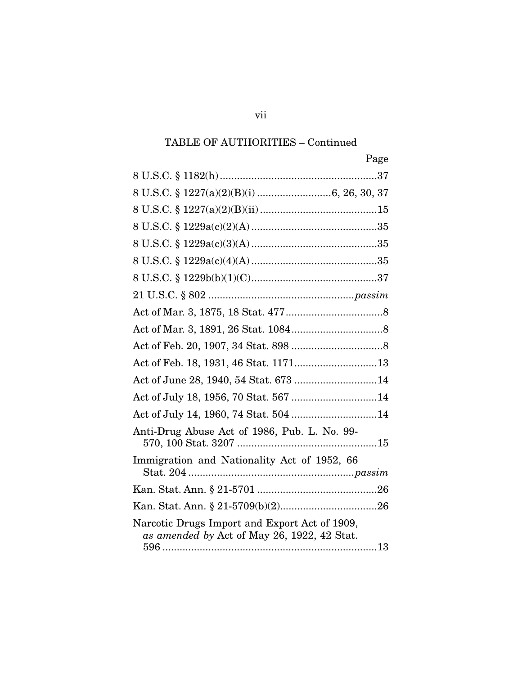| Page                                                                                         |
|----------------------------------------------------------------------------------------------|
|                                                                                              |
|                                                                                              |
|                                                                                              |
|                                                                                              |
|                                                                                              |
|                                                                                              |
|                                                                                              |
|                                                                                              |
|                                                                                              |
|                                                                                              |
|                                                                                              |
|                                                                                              |
| Act of June 28, 1940, 54 Stat. 673 14                                                        |
| Act of July 18, 1956, 70 Stat. 567 14                                                        |
| Act of July 14, 1960, 74 Stat. 504 14                                                        |
| Anti-Drug Abuse Act of 1986, Pub. L. No. 99-                                                 |
| Immigration and Nationality Act of 1952, 66                                                  |
|                                                                                              |
|                                                                                              |
| Narcotic Drugs Import and Export Act of 1909,<br>as amended by Act of May 26, 1922, 42 Stat. |

vii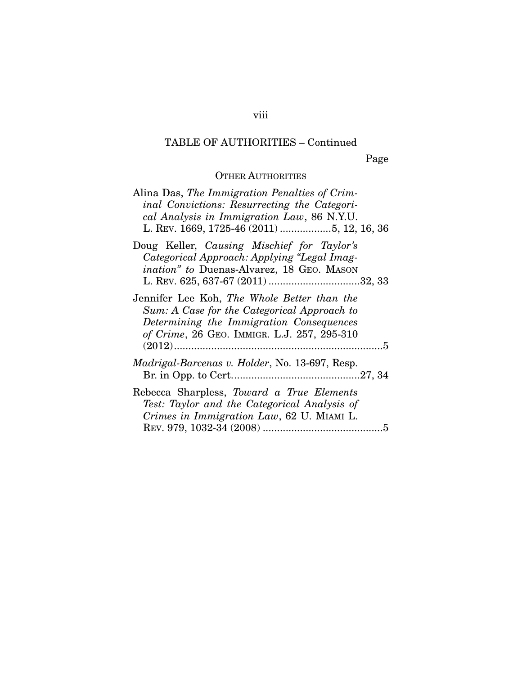Page

### OTHER AUTHORITIES

| Alina Das, The Immigration Penalties of Crim-<br>inal Convictions: Resurrecting the Categori-<br>cal Analysis in Immigration Law, 86 N.Y.U.<br>L. REV. 1669, 1725-46 (2011) 5, 12, 16, 36 |
|-------------------------------------------------------------------------------------------------------------------------------------------------------------------------------------------|
| Doug Keller, Causing Mischief for Taylor's<br>Categorical Approach: Applying "Legal Imag-<br><i>ination</i> " to Duenas-Alvarez, 18 GEO. MASON                                            |
| Jennifer Lee Koh, The Whole Better than the<br>Sum: A Case for the Categorical Approach to<br>Determining the Immigration Consequences<br>of Crime, 26 GEO. IMMIGR. L.J. 257, 295-310     |
| <i>Madrigal-Barcenas v. Holder, No.</i> 13-697, Resp.                                                                                                                                     |
| Rebecca Sharpless, Toward a True Elements<br>Test: Taylor and the Categorical Analysis of<br>Crimes in Immigration Law, 62 U. MIAMI L.                                                    |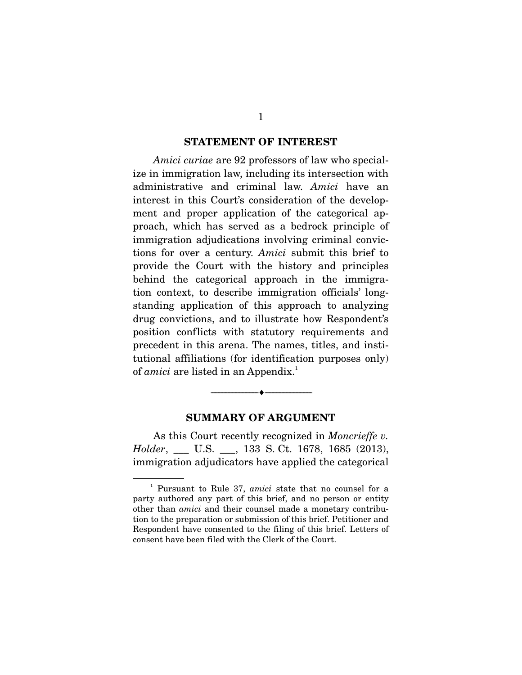#### **STATEMENT OF INTEREST**

*Amici curiae* are 92 professors of law who specialize in immigration law, including its intersection with administrative and criminal law. *Amici* have an interest in this Court's consideration of the development and proper application of the categorical approach, which has served as a bedrock principle of immigration adjudications involving criminal convictions for over a century. *Amici* submit this brief to provide the Court with the history and principles behind the categorical approach in the immigration context, to describe immigration officials' longstanding application of this approach to analyzing drug convictions, and to illustrate how Respondent's position conflicts with statutory requirements and precedent in this arena. The names, titles, and institutional affiliations (for identification purposes only) of *amici* are listed in an Appendix.<sup>1</sup>

#### **SUMMARY OF ARGUMENT**

--------------------------------- ---------------------------------

 As this Court recently recognized in *Moncrieffe v. Holder*, \_\_\_ U.S. \_\_\_, 133 S. Ct. 1678, 1685 (2013), immigration adjudicators have applied the categorical

<sup>&</sup>lt;sup>1</sup> Pursuant to Rule 37, *amici* state that no counsel for a party authored any part of this brief, and no person or entity other than *amici* and their counsel made a monetary contribution to the preparation or submission of this brief. Petitioner and Respondent have consented to the filing of this brief. Letters of consent have been filed with the Clerk of the Court.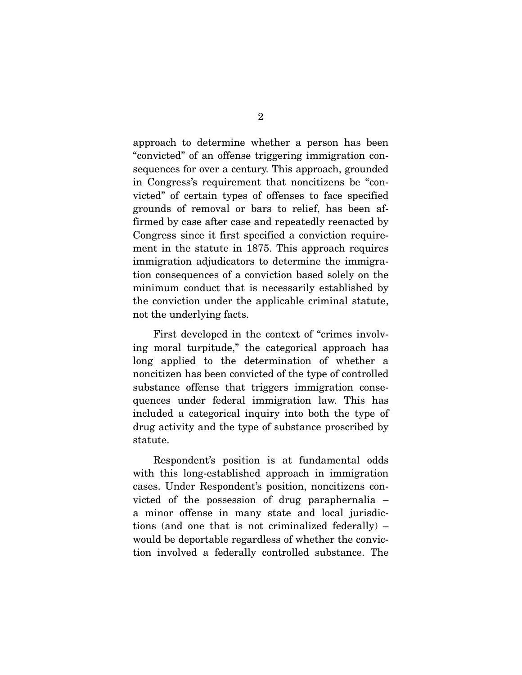approach to determine whether a person has been "convicted" of an offense triggering immigration consequences for over a century. This approach, grounded in Congress's requirement that noncitizens be "convicted" of certain types of offenses to face specified grounds of removal or bars to relief, has been affirmed by case after case and repeatedly reenacted by Congress since it first specified a conviction requirement in the statute in 1875. This approach requires immigration adjudicators to determine the immigration consequences of a conviction based solely on the minimum conduct that is necessarily established by the conviction under the applicable criminal statute, not the underlying facts.

 First developed in the context of "crimes involving moral turpitude," the categorical approach has long applied to the determination of whether a noncitizen has been convicted of the type of controlled substance offense that triggers immigration consequences under federal immigration law. This has included a categorical inquiry into both the type of drug activity and the type of substance proscribed by statute.

 Respondent's position is at fundamental odds with this long-established approach in immigration cases. Under Respondent's position, noncitizens convicted of the possession of drug paraphernalia – a minor offense in many state and local jurisdictions (and one that is not criminalized federally) – would be deportable regardless of whether the conviction involved a federally controlled substance. The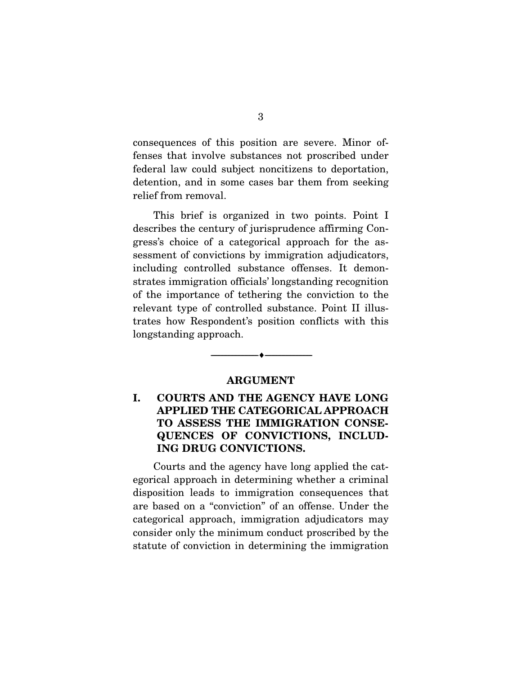consequences of this position are severe. Minor offenses that involve substances not proscribed under federal law could subject noncitizens to deportation, detention, and in some cases bar them from seeking relief from removal.

 This brief is organized in two points. Point I describes the century of jurisprudence affirming Congress's choice of a categorical approach for the assessment of convictions by immigration adjudicators, including controlled substance offenses. It demonstrates immigration officials' longstanding recognition of the importance of tethering the conviction to the relevant type of controlled substance. Point II illustrates how Respondent's position conflicts with this longstanding approach.

#### **ARGUMENT**

--------------------------------- ---------------------------------

### **I. COURTS AND THE AGENCY HAVE LONG APPLIED THE CATEGORICAL APPROACH TO ASSESS THE IMMIGRATION CONSE-QUENCES OF CONVICTIONS, INCLUD-ING DRUG CONVICTIONS.**

 Courts and the agency have long applied the categorical approach in determining whether a criminal disposition leads to immigration consequences that are based on a "conviction" of an offense. Under the categorical approach, immigration adjudicators may consider only the minimum conduct proscribed by the statute of conviction in determining the immigration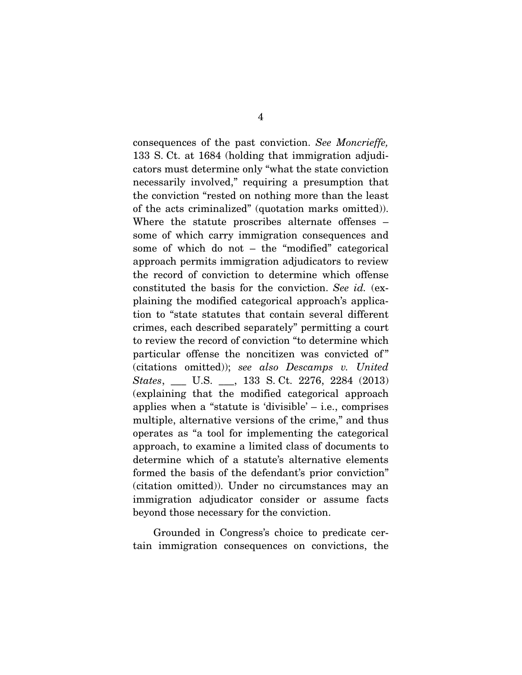consequences of the past conviction. *See Moncrieffe,* 133 S. Ct. at 1684 (holding that immigration adjudicators must determine only "what the state conviction necessarily involved," requiring a presumption that the conviction "rested on nothing more than the least of the acts criminalized" (quotation marks omitted)). Where the statute proscribes alternate offenses – some of which carry immigration consequences and some of which do not – the "modified" categorical approach permits immigration adjudicators to review the record of conviction to determine which offense constituted the basis for the conviction. *See id.* (explaining the modified categorical approach's application to "state statutes that contain several different crimes, each described separately" permitting a court to review the record of conviction "to determine which particular offense the noncitizen was convicted of" (citations omitted)); *see also Descamps v. United States*, \_\_\_ U.S. \_\_\_, 133 S. Ct. 2276, 2284 (2013) (explaining that the modified categorical approach applies when a "statute is 'divisible' – i.e., comprises multiple, alternative versions of the crime," and thus operates as "a tool for implementing the categorical approach, to examine a limited class of documents to determine which of a statute's alternative elements formed the basis of the defendant's prior conviction" (citation omitted)). Under no circumstances may an immigration adjudicator consider or assume facts beyond those necessary for the conviction.

 Grounded in Congress's choice to predicate certain immigration consequences on convictions, the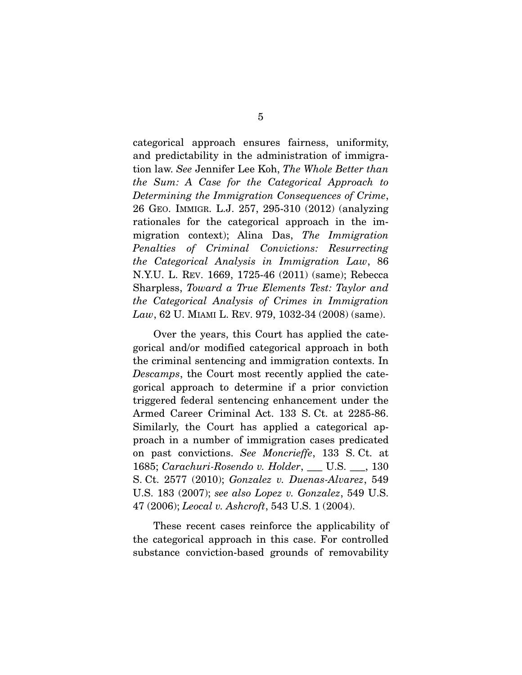categorical approach ensures fairness, uniformity, and predictability in the administration of immigration law. *See* Jennifer Lee Koh, *The Whole Better than the Sum: A Case for the Categorical Approach to Determining the Immigration Consequences of Crime*, 26 GEO. IMMIGR. L.J. 257, 295-310 (2012) (analyzing rationales for the categorical approach in the immigration context); Alina Das, *The Immigration Penalties of Criminal Convictions: Resurrecting the Categorical Analysis in Immigration Law*, 86 N.Y.U. L. REV. 1669, 1725-46 (2011) (same); Rebecca Sharpless, *Toward a True Elements Test: Taylor and the Categorical Analysis of Crimes in Immigration Law*, 62 U. MIAMI L. REV. 979, 1032-34 (2008) (same).

 Over the years, this Court has applied the categorical and/or modified categorical approach in both the criminal sentencing and immigration contexts. In *Descamps*, the Court most recently applied the categorical approach to determine if a prior conviction triggered federal sentencing enhancement under the Armed Career Criminal Act. 133 S. Ct. at 2285-86. Similarly, the Court has applied a categorical approach in a number of immigration cases predicated on past convictions. *See Moncrieffe*, 133 S. Ct. at 1685; *Carachuri-Rosendo v. Holder*, \_\_\_ U.S. \_\_\_, 130 S. Ct. 2577 (2010); *Gonzalez v. Duenas-Alvarez*, 549 U.S. 183 (2007); *see also Lopez v. Gonzalez*, 549 U.S. 47 (2006); *Leocal v. Ashcroft*, 543 U.S. 1 (2004).

 These recent cases reinforce the applicability of the categorical approach in this case. For controlled substance conviction-based grounds of removability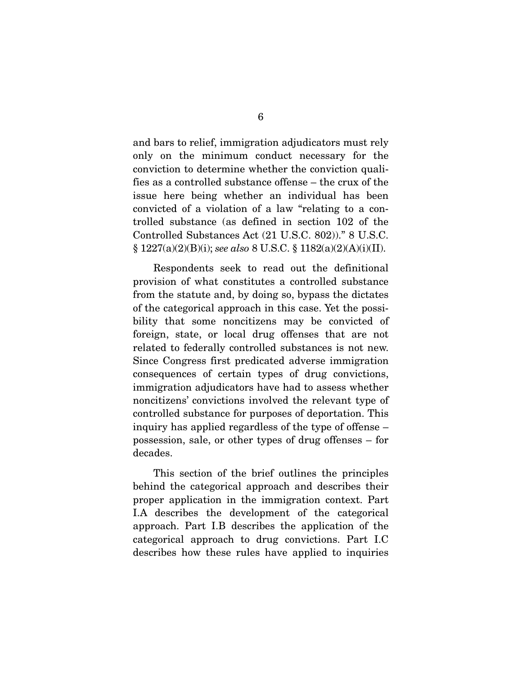and bars to relief, immigration adjudicators must rely only on the minimum conduct necessary for the conviction to determine whether the conviction qualifies as a controlled substance offense – the crux of the issue here being whether an individual has been convicted of a violation of a law "relating to a controlled substance (as defined in section 102 of the Controlled Substances Act (21 U.S.C. 802))." 8 U.S.C. § 1227(a)(2)(B)(i); *see also* 8 U.S.C. § 1182(a)(2)(A)(i)(II).

 Respondents seek to read out the definitional provision of what constitutes a controlled substance from the statute and, by doing so, bypass the dictates of the categorical approach in this case. Yet the possibility that some noncitizens may be convicted of foreign, state, or local drug offenses that are not related to federally controlled substances is not new. Since Congress first predicated adverse immigration consequences of certain types of drug convictions, immigration adjudicators have had to assess whether noncitizens' convictions involved the relevant type of controlled substance for purposes of deportation. This inquiry has applied regardless of the type of offense – possession, sale, or other types of drug offenses – for decades.

 This section of the brief outlines the principles behind the categorical approach and describes their proper application in the immigration context. Part I.A describes the development of the categorical approach. Part I.B describes the application of the categorical approach to drug convictions. Part I.C describes how these rules have applied to inquiries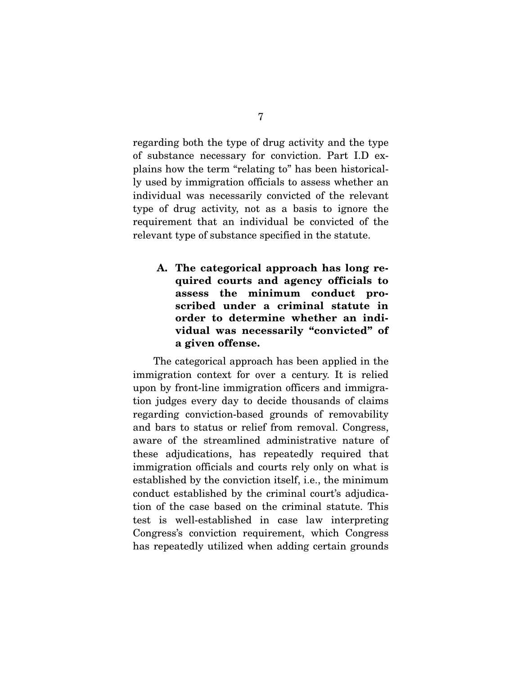regarding both the type of drug activity and the type of substance necessary for conviction. Part I.D explains how the term "relating to" has been historically used by immigration officials to assess whether an individual was necessarily convicted of the relevant type of drug activity, not as a basis to ignore the requirement that an individual be convicted of the relevant type of substance specified in the statute.

**A. The categorical approach has long required courts and agency officials to assess the minimum conduct proscribed under a criminal statute in order to determine whether an individual was necessarily "convicted" of a given offense.** 

 The categorical approach has been applied in the immigration context for over a century. It is relied upon by front-line immigration officers and immigration judges every day to decide thousands of claims regarding conviction-based grounds of removability and bars to status or relief from removal. Congress, aware of the streamlined administrative nature of these adjudications, has repeatedly required that immigration officials and courts rely only on what is established by the conviction itself, i.e., the minimum conduct established by the criminal court's adjudication of the case based on the criminal statute. This test is well-established in case law interpreting Congress's conviction requirement, which Congress has repeatedly utilized when adding certain grounds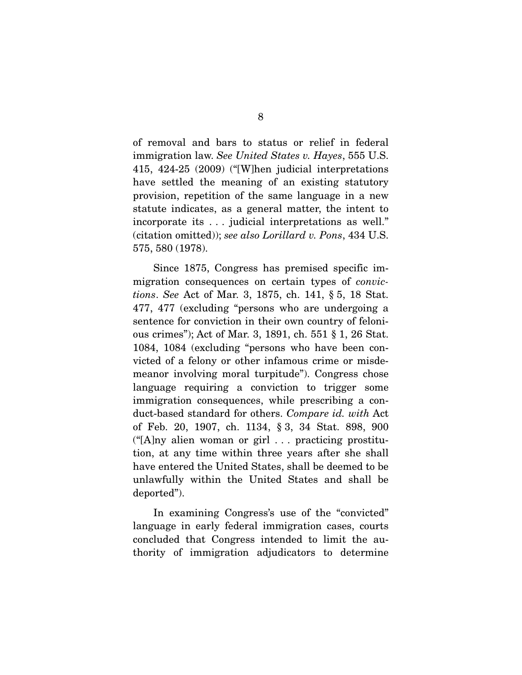of removal and bars to status or relief in federal immigration law. *See United States v. Hayes*, 555 U.S. 415, 424-25 (2009) ("[W]hen judicial interpretations have settled the meaning of an existing statutory provision, repetition of the same language in a new statute indicates, as a general matter, the intent to incorporate its . . . judicial interpretations as well." (citation omitted)); *see also Lorillard v. Pons*, 434 U.S. 575, 580 (1978).

 Since 1875, Congress has premised specific immigration consequences on certain types of *convictions*. *See* Act of Mar. 3, 1875, ch. 141, § 5, 18 Stat. 477, 477 (excluding "persons who are undergoing a sentence for conviction in their own country of felonious crimes"); Act of Mar. 3, 1891, ch. 551 § 1, 26 Stat. 1084, 1084 (excluding "persons who have been convicted of a felony or other infamous crime or misdemeanor involving moral turpitude"). Congress chose language requiring a conviction to trigger some immigration consequences, while prescribing a conduct-based standard for others. *Compare id. with* Act of Feb. 20, 1907, ch. 1134, § 3, 34 Stat. 898, 900  $("[A]ny$  alien woman or girl ... practicing prostitution, at any time within three years after she shall have entered the United States, shall be deemed to be unlawfully within the United States and shall be deported").

 In examining Congress's use of the "convicted" language in early federal immigration cases, courts concluded that Congress intended to limit the authority of immigration adjudicators to determine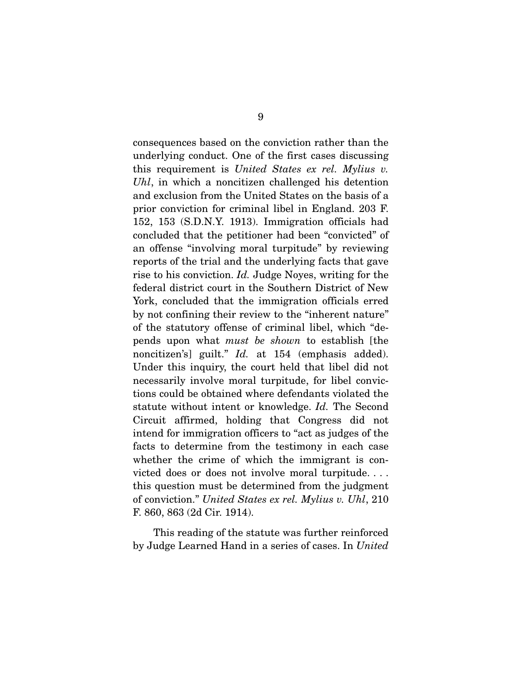consequences based on the conviction rather than the underlying conduct. One of the first cases discussing this requirement is *United States ex rel. Mylius v. Uhl*, in which a noncitizen challenged his detention and exclusion from the United States on the basis of a prior conviction for criminal libel in England. 203 F. 152, 153 (S.D.N.Y. 1913). Immigration officials had concluded that the petitioner had been "convicted" of an offense "involving moral turpitude" by reviewing reports of the trial and the underlying facts that gave rise to his conviction. *Id.* Judge Noyes, writing for the federal district court in the Southern District of New York, concluded that the immigration officials erred by not confining their review to the "inherent nature" of the statutory offense of criminal libel, which "depends upon what *must be shown* to establish [the noncitizen's] guilt." *Id.* at 154 (emphasis added). Under this inquiry, the court held that libel did not necessarily involve moral turpitude, for libel convictions could be obtained where defendants violated the statute without intent or knowledge. *Id.* The Second Circuit affirmed, holding that Congress did not intend for immigration officers to "act as judges of the facts to determine from the testimony in each case whether the crime of which the immigrant is convicted does or does not involve moral turpitude. . . . this question must be determined from the judgment of conviction." *United States ex rel. Mylius v. Uhl*, 210 F. 860, 863 (2d Cir. 1914).

 This reading of the statute was further reinforced by Judge Learned Hand in a series of cases. In *United*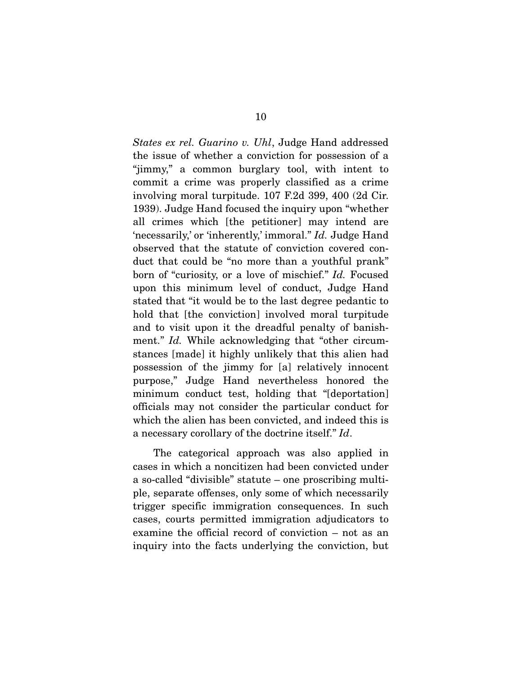*States ex rel. Guarino v. Uhl*, Judge Hand addressed the issue of whether a conviction for possession of a "jimmy," a common burglary tool, with intent to commit a crime was properly classified as a crime involving moral turpitude. 107 F.2d 399, 400 (2d Cir. 1939). Judge Hand focused the inquiry upon "whether all crimes which [the petitioner] may intend are 'necessarily,' or 'inherently,' immoral." *Id.* Judge Hand observed that the statute of conviction covered conduct that could be "no more than a youthful prank" born of "curiosity, or a love of mischief." *Id.* Focused upon this minimum level of conduct, Judge Hand stated that "it would be to the last degree pedantic to hold that [the conviction] involved moral turpitude and to visit upon it the dreadful penalty of banishment." *Id.* While acknowledging that "other circumstances [made] it highly unlikely that this alien had possession of the jimmy for [a] relatively innocent purpose," Judge Hand nevertheless honored the minimum conduct test, holding that "[deportation] officials may not consider the particular conduct for which the alien has been convicted, and indeed this is a necessary corollary of the doctrine itself." *Id*.

 The categorical approach was also applied in cases in which a noncitizen had been convicted under a so-called "divisible" statute – one proscribing multiple, separate offenses, only some of which necessarily trigger specific immigration consequences. In such cases, courts permitted immigration adjudicators to examine the official record of conviction – not as an inquiry into the facts underlying the conviction, but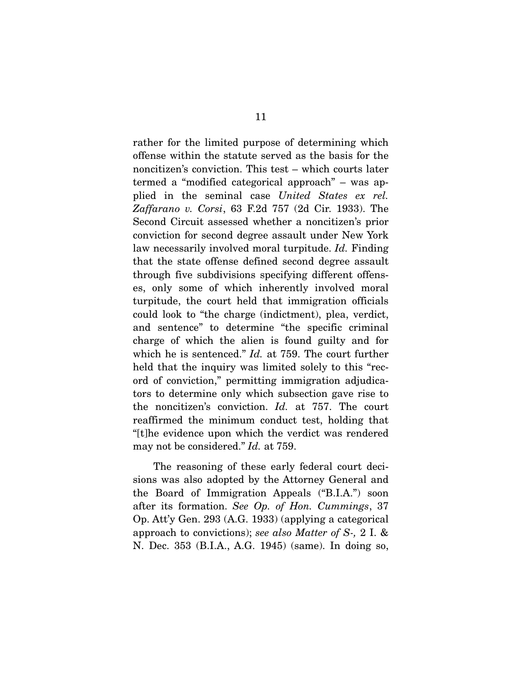rather for the limited purpose of determining which offense within the statute served as the basis for the noncitizen's conviction. This test – which courts later termed a "modified categorical approach" – was applied in the seminal case *United States ex rel. Zaffarano v. Corsi*, 63 F.2d 757 (2d Cir. 1933). The Second Circuit assessed whether a noncitizen's prior conviction for second degree assault under New York law necessarily involved moral turpitude. *Id.* Finding that the state offense defined second degree assault through five subdivisions specifying different offenses, only some of which inherently involved moral turpitude, the court held that immigration officials could look to "the charge (indictment), plea, verdict, and sentence" to determine "the specific criminal charge of which the alien is found guilty and for which he is sentenced." *Id.* at 759. The court further held that the inquiry was limited solely to this "record of conviction," permitting immigration adjudicators to determine only which subsection gave rise to the noncitizen's conviction. *Id.* at 757. The court reaffirmed the minimum conduct test, holding that "[t]he evidence upon which the verdict was rendered may not be considered." *Id.* at 759.

 The reasoning of these early federal court decisions was also adopted by the Attorney General and the Board of Immigration Appeals ("B.I.A.") soon after its formation. *See Op. of Hon. Cummings*, 37 Op. Att'y Gen. 293 (A.G. 1933) (applying a categorical approach to convictions); *see also Matter of S-,* 2 I. & N. Dec. 353 (B.I.A., A.G. 1945) (same). In doing so,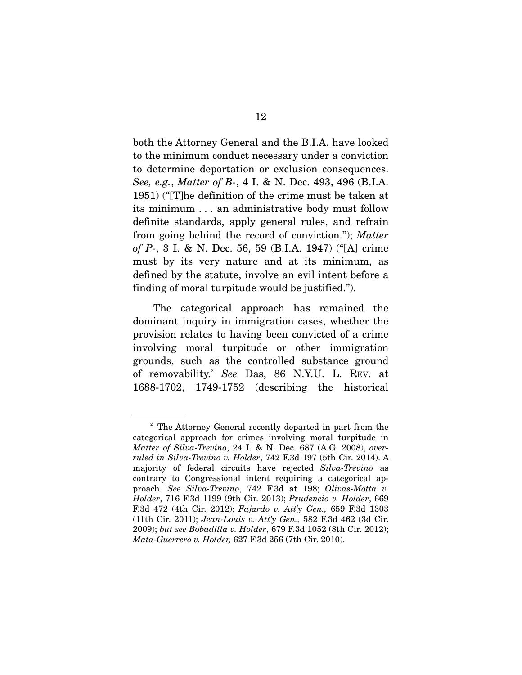both the Attorney General and the B.I.A. have looked to the minimum conduct necessary under a conviction to determine deportation or exclusion consequences. *See, e.g.*, *Matter of B-*, 4 I. & N. Dec. 493, 496 (B.I.A. 1951) ("[T]he definition of the crime must be taken at its minimum . . . an administrative body must follow definite standards, apply general rules, and refrain from going behind the record of conviction."); *Matter of P-*, 3 I. & N. Dec. 56, 59 (B.I.A. 1947) ("[A] crime must by its very nature and at its minimum, as defined by the statute, involve an evil intent before a finding of moral turpitude would be justified.").

 The categorical approach has remained the dominant inquiry in immigration cases, whether the provision relates to having been convicted of a crime involving moral turpitude or other immigration grounds, such as the controlled substance ground of removability.<sup>2</sup> *See* Das, 86 N.Y.U. L. REV. at 1688-1702, 1749-1752 (describing the historical

<sup>&</sup>lt;sup>2</sup> The Attorney General recently departed in part from the categorical approach for crimes involving moral turpitude in *Matter of Silva-Trevino*, 24 I. & N. Dec. 687 (A.G. 2008), *overruled in Silva-Trevino v. Holder*, 742 F.3d 197 (5th Cir. 2014). A majority of federal circuits have rejected *Silva-Trevino* as contrary to Congressional intent requiring a categorical approach. *See Silva-Trevino*, 742 F.3d at 198; *Olivas-Motta v. Holder*, 716 F.3d 1199 (9th Cir. 2013); *Prudencio v. Holder*, 669 F.3d 472 (4th Cir. 2012); *Fajardo v. Att'y Gen.,* 659 F.3d 1303 (11th Cir. 2011); *Jean-Louis v. Att'y Gen.,* 582 F.3d 462 (3d Cir. 2009); *but see Bobadilla v. Holder*, 679 F.3d 1052 (8th Cir. 2012); *Mata-Guerrero v. Holder,* 627 F.3d 256 (7th Cir. 2010).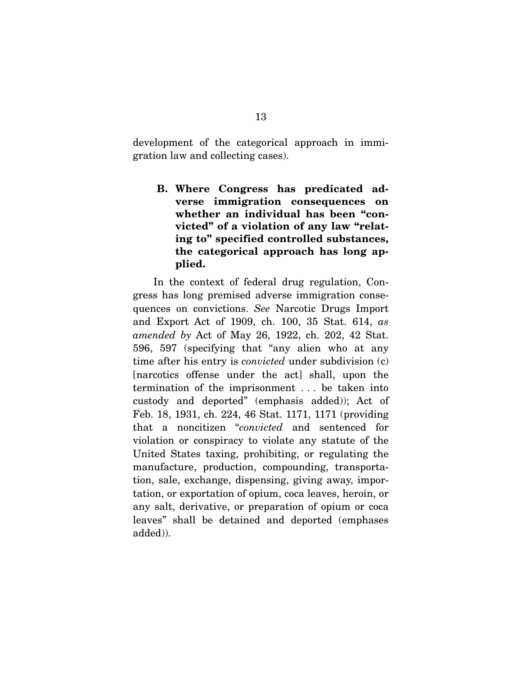development of the categorical approach in immigration law and collecting cases).

**B. Where Congress has predicated adverse immigration consequences on whether an individual has been "convicted" of a violation of any law "relating to" specified controlled substances, the categorical approach has long applied.** 

 In the context of federal drug regulation, Congress has long premised adverse immigration consequences on convictions. *See* Narcotic Drugs Import and Export Act of 1909, ch. 100, 35 Stat. 614, *as amended by* Act of May 26, 1922, ch. 202, 42 Stat. 596, 597 (specifying that "any alien who at any time after his entry is *convicted* under subdivision (c) [narcotics offense under the act] shall, upon the termination of the imprisonment . . . be taken into custody and deported" (emphasis added)); Act of Feb. 18, 1931, ch. 224, 46 Stat. 1171, 1171 (providing that a noncitizen "*convicted* and sentenced for violation or conspiracy to violate any statute of the United States taxing, prohibiting, or regulating the manufacture, production, compounding, transportation, sale, exchange, dispensing, giving away, importation, or exportation of opium, coca leaves, heroin, or any salt, derivative, or preparation of opium or coca leaves" shall be detained and deported (emphases added)).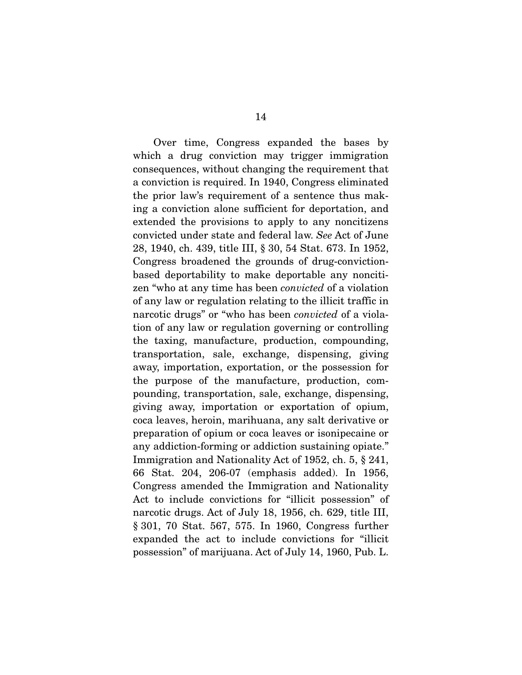Over time, Congress expanded the bases by which a drug conviction may trigger immigration consequences, without changing the requirement that a conviction is required. In 1940, Congress eliminated the prior law's requirement of a sentence thus making a conviction alone sufficient for deportation, and extended the provisions to apply to any noncitizens convicted under state and federal law. *See* Act of June 28, 1940, ch. 439, title III, § 30, 54 Stat. 673. In 1952, Congress broadened the grounds of drug-convictionbased deportability to make deportable any noncitizen "who at any time has been *convicted* of a violation of any law or regulation relating to the illicit traffic in narcotic drugs" or "who has been *convicted* of a violation of any law or regulation governing or controlling the taxing, manufacture, production, compounding, transportation, sale, exchange, dispensing, giving away, importation, exportation, or the possession for the purpose of the manufacture, production, compounding, transportation, sale, exchange, dispensing, giving away, importation or exportation of opium, coca leaves, heroin, marihuana, any salt derivative or preparation of opium or coca leaves or isonipecaine or any addiction-forming or addiction sustaining opiate." Immigration and Nationality Act of 1952, ch. 5, § 241, 66 Stat. 204, 206-07 (emphasis added). In 1956, Congress amended the Immigration and Nationality Act to include convictions for "illicit possession" of narcotic drugs. Act of July 18, 1956, ch. 629, title III, § 301, 70 Stat. 567, 575. In 1960, Congress further expanded the act to include convictions for "illicit possession" of marijuana. Act of July 14, 1960, Pub. L.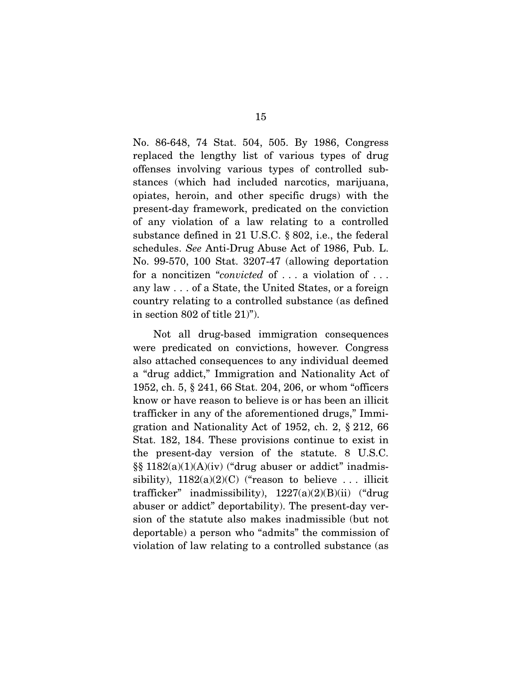No. 86-648, 74 Stat. 504, 505. By 1986, Congress replaced the lengthy list of various types of drug offenses involving various types of controlled substances (which had included narcotics, marijuana, opiates, heroin, and other specific drugs) with the present-day framework, predicated on the conviction of any violation of a law relating to a controlled substance defined in 21 U.S.C. § 802, i.e., the federal schedules. *See* Anti-Drug Abuse Act of 1986, Pub. L. No. 99-570, 100 Stat. 3207-47 (allowing deportation for a noncitizen "*convicted* of . . . a violation of . . . any law . . . of a State, the United States, or a foreign country relating to a controlled substance (as defined in section 802 of title 21)").

 Not all drug-based immigration consequences were predicated on convictions, however. Congress also attached consequences to any individual deemed a "drug addict," Immigration and Nationality Act of 1952, ch. 5, § 241, 66 Stat. 204, 206, or whom "officers know or have reason to believe is or has been an illicit trafficker in any of the aforementioned drugs," Immigration and Nationality Act of 1952, ch. 2, § 212, 66 Stat. 182, 184. These provisions continue to exist in the present-day version of the statute. 8 U.S.C.  $\S\S 1182(a)(1)(A)(iv)$  ("drug abuser or addict" inadmissibility),  $1182(a)(2)(C)$  ("reason to believe ... illicit trafficker" inadmissibility),  $1227(a)(2)(B)(ii)$  ("drug abuser or addict" deportability). The present-day version of the statute also makes inadmissible (but not deportable) a person who "admits" the commission of violation of law relating to a controlled substance (as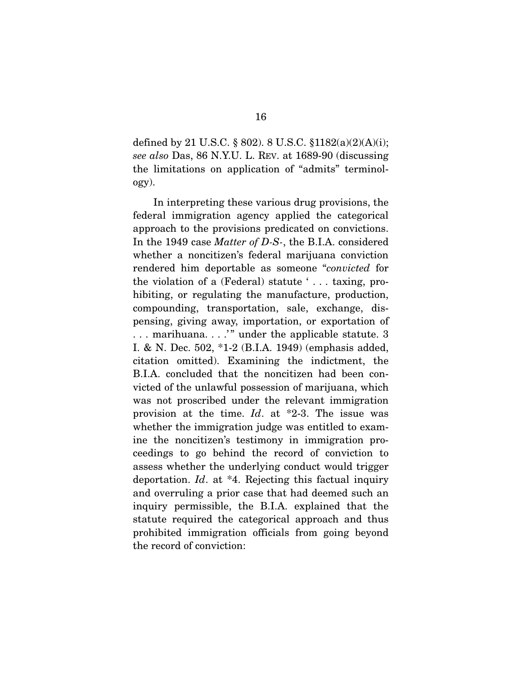defined by 21 U.S.C. § 802). 8 U.S.C. § 1182(a)(2)(A)(i); *see also* Das, 86 N.Y.U. L. REV. at 1689-90 (discussing the limitations on application of "admits" terminology).

 In interpreting these various drug provisions, the federal immigration agency applied the categorical approach to the provisions predicated on convictions. In the 1949 case *Matter of D-S-*, the B.I.A. considered whether a noncitizen's federal marijuana conviction rendered him deportable as someone "*convicted* for the violation of a (Federal) statute ' . . . taxing, prohibiting, or regulating the manufacture, production, compounding, transportation, sale, exchange, dispensing, giving away, importation, or exportation of ... marihuana..." under the applicable statute. 3 I. & N. Dec. 502, \*1-2 (B.I.A. 1949) (emphasis added, citation omitted). Examining the indictment, the B.I.A. concluded that the noncitizen had been convicted of the unlawful possession of marijuana, which was not proscribed under the relevant immigration provision at the time. *Id*. at \*2-3. The issue was whether the immigration judge was entitled to examine the noncitizen's testimony in immigration proceedings to go behind the record of conviction to assess whether the underlying conduct would trigger deportation. *Id*. at \*4. Rejecting this factual inquiry and overruling a prior case that had deemed such an inquiry permissible, the B.I.A. explained that the statute required the categorical approach and thus prohibited immigration officials from going beyond the record of conviction: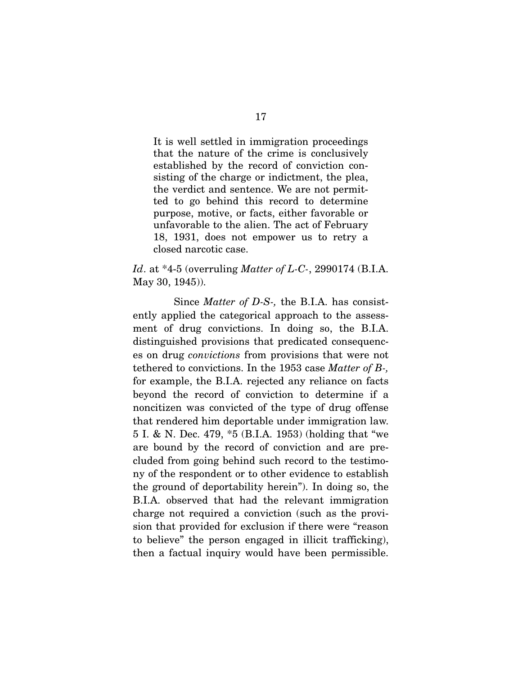It is well settled in immigration proceedings that the nature of the crime is conclusively established by the record of conviction consisting of the charge or indictment, the plea, the verdict and sentence. We are not permitted to go behind this record to determine purpose, motive, or facts, either favorable or unfavorable to the alien. The act of February 18, 1931, does not empower us to retry a closed narcotic case.

### *Id*. at \*4-5 (overruling *Matter of L-C-*, 2990174 (B.I.A. May 30, 1945)).

 Since *Matter of D-S-,* the B.I.A. has consistently applied the categorical approach to the assessment of drug convictions. In doing so, the B.I.A. distinguished provisions that predicated consequences on drug *convictions* from provisions that were not tethered to convictions. In the 1953 case *Matter of B-,* for example, the B.I.A. rejected any reliance on facts beyond the record of conviction to determine if a noncitizen was convicted of the type of drug offense that rendered him deportable under immigration law. 5 I. & N. Dec. 479, \*5 (B.I.A. 1953) (holding that "we are bound by the record of conviction and are precluded from going behind such record to the testimony of the respondent or to other evidence to establish the ground of deportability herein"). In doing so, the B.I.A. observed that had the relevant immigration charge not required a conviction (such as the provision that provided for exclusion if there were "reason to believe" the person engaged in illicit trafficking), then a factual inquiry would have been permissible.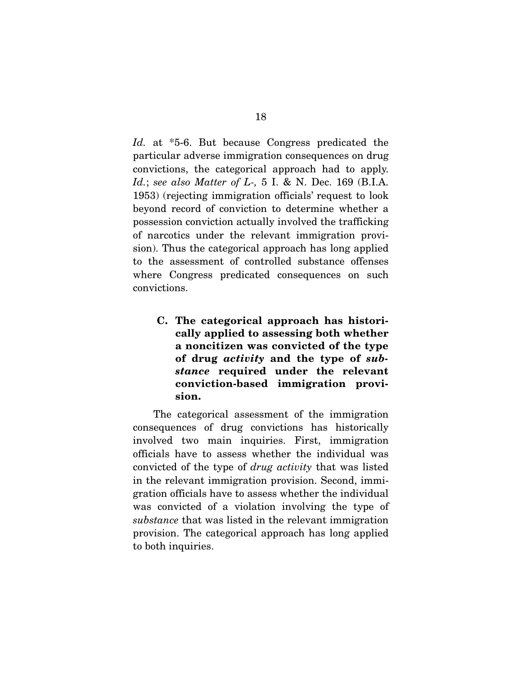*Id.* at \*5-6. But because Congress predicated the particular adverse immigration consequences on drug convictions, the categorical approach had to apply. *Id.*; *see also Matter of L-,* 5 I. & N. Dec. 169 (B.I.A. 1953) (rejecting immigration officials' request to look beyond record of conviction to determine whether a possession conviction actually involved the trafficking of narcotics under the relevant immigration provision). Thus the categorical approach has long applied to the assessment of controlled substance offenses where Congress predicated consequences on such convictions.

**C. The categorical approach has historically applied to assessing both whether a noncitizen was convicted of the type of drug** *activity* **and the type of** *substance* **required under the relevant conviction-based immigration provision.** 

 The categorical assessment of the immigration consequences of drug convictions has historically involved two main inquiries. First, immigration officials have to assess whether the individual was convicted of the type of *drug activity* that was listed in the relevant immigration provision. Second, immigration officials have to assess whether the individual was convicted of a violation involving the type of *substance* that was listed in the relevant immigration provision. The categorical approach has long applied to both inquiries.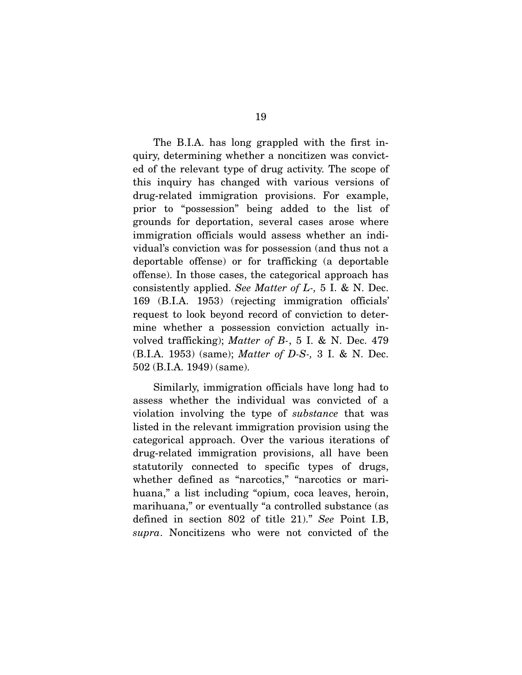The B.I.A. has long grappled with the first inquiry, determining whether a noncitizen was convicted of the relevant type of drug activity. The scope of this inquiry has changed with various versions of drug-related immigration provisions. For example, prior to "possession" being added to the list of grounds for deportation, several cases arose where immigration officials would assess whether an individual's conviction was for possession (and thus not a deportable offense) or for trafficking (a deportable offense). In those cases, the categorical approach has consistently applied. *See Matter of L-,* 5 I. & N. Dec. 169 (B.I.A. 1953) (rejecting immigration officials' request to look beyond record of conviction to determine whether a possession conviction actually involved trafficking); *Matter of B-*, 5 I. & N. Dec. 479 (B.I.A. 1953) (same); *Matter of D-S-,* 3 I. & N. Dec. 502 (B.I.A. 1949) (same).

 Similarly, immigration officials have long had to assess whether the individual was convicted of a violation involving the type of *substance* that was listed in the relevant immigration provision using the categorical approach. Over the various iterations of drug-related immigration provisions, all have been statutorily connected to specific types of drugs, whether defined as "narcotics," "narcotics or marihuana," a list including "opium, coca leaves, heroin, marihuana," or eventually "a controlled substance (as defined in section 802 of title 21)." *See* Point I.B, *supra*. Noncitizens who were not convicted of the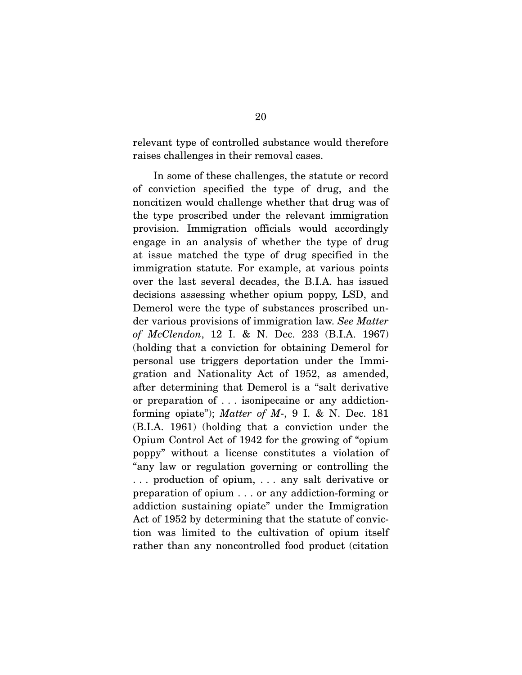relevant type of controlled substance would therefore raises challenges in their removal cases.

 In some of these challenges, the statute or record of conviction specified the type of drug, and the noncitizen would challenge whether that drug was of the type proscribed under the relevant immigration provision. Immigration officials would accordingly engage in an analysis of whether the type of drug at issue matched the type of drug specified in the immigration statute. For example, at various points over the last several decades, the B.I.A. has issued decisions assessing whether opium poppy, LSD, and Demerol were the type of substances proscribed under various provisions of immigration law. *See Matter of McClendon*, 12 I. & N. Dec. 233 (B.I.A. 1967) (holding that a conviction for obtaining Demerol for personal use triggers deportation under the Immigration and Nationality Act of 1952, as amended, after determining that Demerol is a "salt derivative or preparation of . . . isonipecaine or any addictionforming opiate"); *Matter of M*-, 9 I. & N. Dec. 181 (B.I.A. 1961) (holding that a conviction under the Opium Control Act of 1942 for the growing of "opium poppy" without a license constitutes a violation of "any law or regulation governing or controlling the . . . production of opium, . . . any salt derivative or preparation of opium . . . or any addiction-forming or addiction sustaining opiate" under the Immigration Act of 1952 by determining that the statute of conviction was limited to the cultivation of opium itself rather than any noncontrolled food product (citation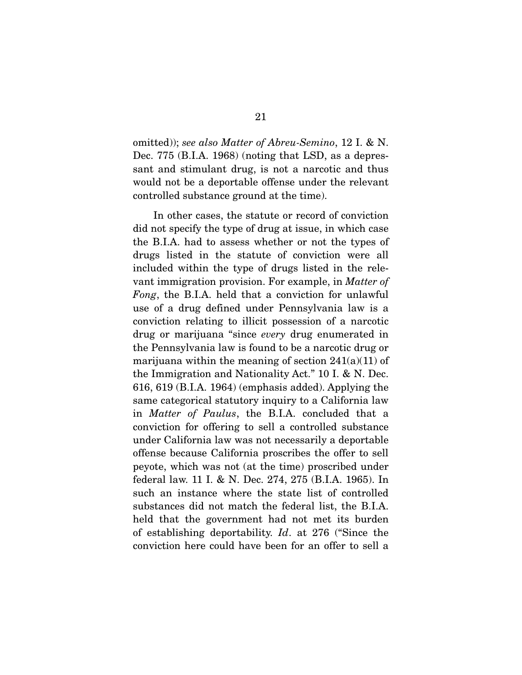omitted)); *see also Matter of Abreu-Semino*, 12 I. & N. Dec. 775 (B.I.A. 1968) (noting that LSD, as a depressant and stimulant drug, is not a narcotic and thus would not be a deportable offense under the relevant controlled substance ground at the time).

 In other cases, the statute or record of conviction did not specify the type of drug at issue, in which case the B.I.A. had to assess whether or not the types of drugs listed in the statute of conviction were all included within the type of drugs listed in the relevant immigration provision. For example, in *Matter of Fong*, the B.I.A. held that a conviction for unlawful use of a drug defined under Pennsylvania law is a conviction relating to illicit possession of a narcotic drug or marijuana "since *every* drug enumerated in the Pennsylvania law is found to be a narcotic drug or marijuana within the meaning of section  $241(a)(11)$  of the Immigration and Nationality Act." 10 I. & N. Dec. 616, 619 (B.I.A. 1964) (emphasis added). Applying the same categorical statutory inquiry to a California law in *Matter of Paulus*, the B.I.A. concluded that a conviction for offering to sell a controlled substance under California law was not necessarily a deportable offense because California proscribes the offer to sell peyote, which was not (at the time) proscribed under federal law. 11 I. & N. Dec. 274, 275 (B.I.A. 1965). In such an instance where the state list of controlled substances did not match the federal list, the B.I.A. held that the government had not met its burden of establishing deportability. *Id*. at 276 ("Since the conviction here could have been for an offer to sell a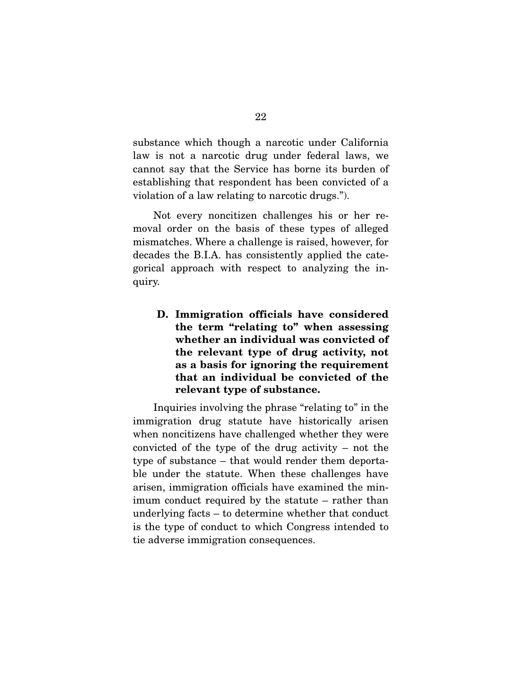substance which though a narcotic under California law is not a narcotic drug under federal laws, we cannot say that the Service has borne its burden of establishing that respondent has been convicted of a violation of a law relating to narcotic drugs.").

 Not every noncitizen challenges his or her removal order on the basis of these types of alleged mismatches. Where a challenge is raised, however, for decades the B.I.A. has consistently applied the categorical approach with respect to analyzing the inquiry.

**D. Immigration officials have considered the term "relating to" when assessing whether an individual was convicted of the relevant type of drug activity, not as a basis for ignoring the requirement that an individual be convicted of the relevant type of substance.** 

 Inquiries involving the phrase "relating to" in the immigration drug statute have historically arisen when noncitizens have challenged whether they were convicted of the type of the drug activity – not the type of substance – that would render them deportable under the statute. When these challenges have arisen, immigration officials have examined the minimum conduct required by the statute – rather than underlying facts – to determine whether that conduct is the type of conduct to which Congress intended to tie adverse immigration consequences.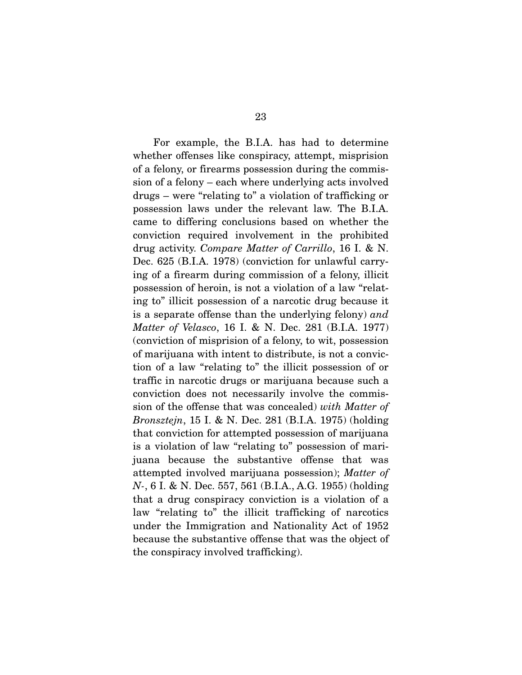For example, the B.I.A. has had to determine whether offenses like conspiracy, attempt, misprision of a felony, or firearms possession during the commission of a felony – each where underlying acts involved drugs – were "relating to" a violation of trafficking or possession laws under the relevant law. The B.I.A. came to differing conclusions based on whether the conviction required involvement in the prohibited drug activity. *Compare Matter of Carrillo*, 16 I. & N. Dec. 625 (B.I.A. 1978) (conviction for unlawful carrying of a firearm during commission of a felony, illicit possession of heroin, is not a violation of a law "relating to" illicit possession of a narcotic drug because it is a separate offense than the underlying felony) *and Matter of Velasco*, 16 I. & N. Dec. 281 (B.I.A. 1977) (conviction of misprision of a felony, to wit, possession of marijuana with intent to distribute, is not a conviction of a law "relating to" the illicit possession of or traffic in narcotic drugs or marijuana because such a conviction does not necessarily involve the commission of the offense that was concealed) *with Matter of Bronsztejn*, 15 I. & N. Dec. 281 (B.I.A. 1975) (holding that conviction for attempted possession of marijuana is a violation of law "relating to" possession of marijuana because the substantive offense that was attempted involved marijuana possession); *Matter of N-*, 6 I. & N. Dec. 557, 561 (B.I.A., A.G. 1955) (holding that a drug conspiracy conviction is a violation of a law "relating to" the illicit trafficking of narcotics under the Immigration and Nationality Act of 1952 because the substantive offense that was the object of the conspiracy involved trafficking).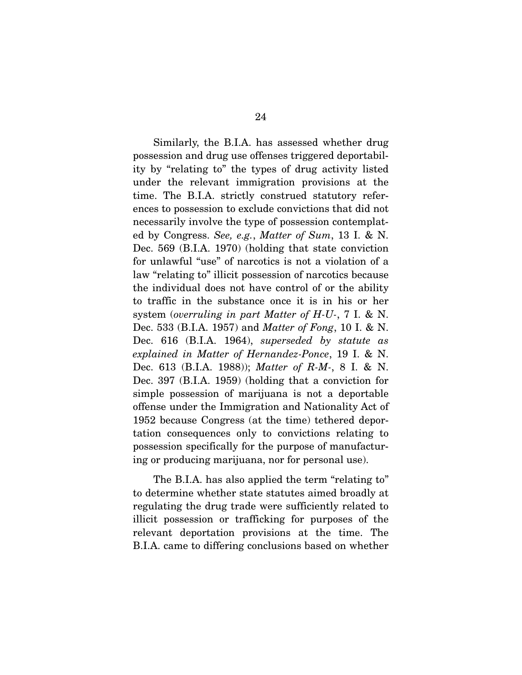Similarly, the B.I.A. has assessed whether drug possession and drug use offenses triggered deportability by "relating to" the types of drug activity listed under the relevant immigration provisions at the time. The B.I.A. strictly construed statutory references to possession to exclude convictions that did not necessarily involve the type of possession contemplated by Congress. *See, e.g.*, *Matter of Sum*, 13 I. & N. Dec. 569 (B.I.A. 1970) (holding that state conviction for unlawful "use" of narcotics is not a violation of a law "relating to" illicit possession of narcotics because the individual does not have control of or the ability to traffic in the substance once it is in his or her system (*overruling in part Matter of H-U-*, 7 I. & N. Dec. 533 (B.I.A. 1957) and *Matter of Fong*, 10 I. & N. Dec. 616 (B.I.A. 1964), *superseded by statute as explained in Matter of Hernandez-Ponce*, 19 I. & N. Dec. 613 (B.I.A. 1988)); *Matter of R-M-*, 8 I. & N. Dec. 397 (B.I.A. 1959) (holding that a conviction for simple possession of marijuana is not a deportable offense under the Immigration and Nationality Act of 1952 because Congress (at the time) tethered deportation consequences only to convictions relating to possession specifically for the purpose of manufacturing or producing marijuana, nor for personal use).

 The B.I.A. has also applied the term "relating to" to determine whether state statutes aimed broadly at regulating the drug trade were sufficiently related to illicit possession or trafficking for purposes of the relevant deportation provisions at the time. The B.I.A. came to differing conclusions based on whether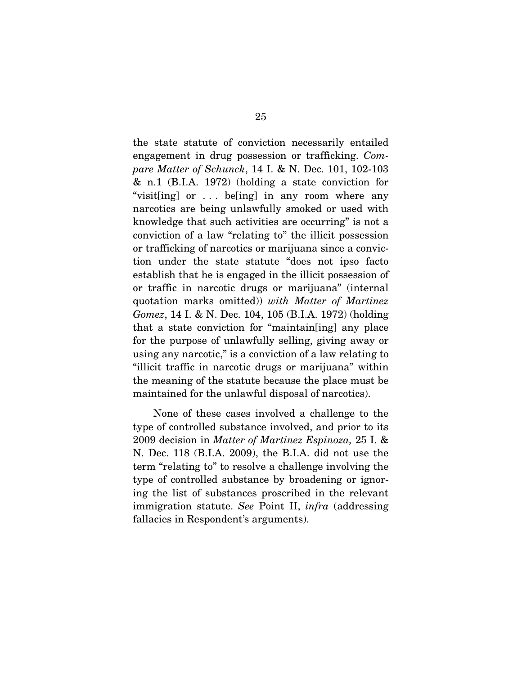the state statute of conviction necessarily entailed engagement in drug possession or trafficking. *Compare Matter of Schunck*, 14 I. & N. Dec. 101, 102-103 & n.1 (B.I.A. 1972) (holding a state conviction for "visit[ing] or . . . be[ing] in any room where any narcotics are being unlawfully smoked or used with knowledge that such activities are occurring" is not a conviction of a law "relating to" the illicit possession or trafficking of narcotics or marijuana since a conviction under the state statute "does not ipso facto establish that he is engaged in the illicit possession of or traffic in narcotic drugs or marijuana" (internal quotation marks omitted)) *with Matter of Martinez Gomez*, 14 I. & N. Dec. 104, 105 (B.I.A. 1972) (holding that a state conviction for "maintain[ing] any place for the purpose of unlawfully selling, giving away or using any narcotic," is a conviction of a law relating to "illicit traffic in narcotic drugs or marijuana" within the meaning of the statute because the place must be maintained for the unlawful disposal of narcotics).

 None of these cases involved a challenge to the type of controlled substance involved, and prior to its 2009 decision in *Matter of Martinez Espinoza,* 25 I. & N. Dec. 118 (B.I.A. 2009), the B.I.A. did not use the term "relating to" to resolve a challenge involving the type of controlled substance by broadening or ignoring the list of substances proscribed in the relevant immigration statute. *See* Point II, *infra* (addressing fallacies in Respondent's arguments).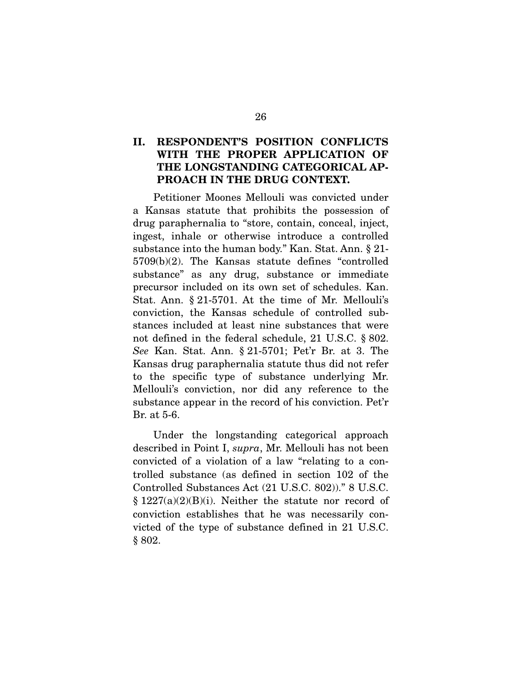### **II. RESPONDENT'S POSITION CONFLICTS WITH THE PROPER APPLICATION OF THE LONGSTANDING CATEGORICAL AP-PROACH IN THE DRUG CONTEXT.**

 Petitioner Moones Mellouli was convicted under a Kansas statute that prohibits the possession of drug paraphernalia to "store, contain, conceal, inject, ingest, inhale or otherwise introduce a controlled substance into the human body." Kan. Stat. Ann. § 21- 5709(b)(2). The Kansas statute defines "controlled substance" as any drug, substance or immediate precursor included on its own set of schedules. Kan. Stat. Ann. § 21-5701. At the time of Mr. Mellouli's conviction, the Kansas schedule of controlled substances included at least nine substances that were not defined in the federal schedule, 21 U.S.C. § 802. *See* Kan. Stat. Ann. § 21-5701; Pet'r Br. at 3. The Kansas drug paraphernalia statute thus did not refer to the specific type of substance underlying Mr. Mellouli's conviction, nor did any reference to the substance appear in the record of his conviction. Pet'r Br. at 5-6.

 Under the longstanding categorical approach described in Point I, *supra*, Mr. Mellouli has not been convicted of a violation of a law "relating to a controlled substance (as defined in section 102 of the Controlled Substances Act (21 U.S.C. 802))." 8 U.S.C.  $§ 1227(a)(2)(B)(i)$ . Neither the statute nor record of conviction establishes that he was necessarily convicted of the type of substance defined in 21 U.S.C. § 802.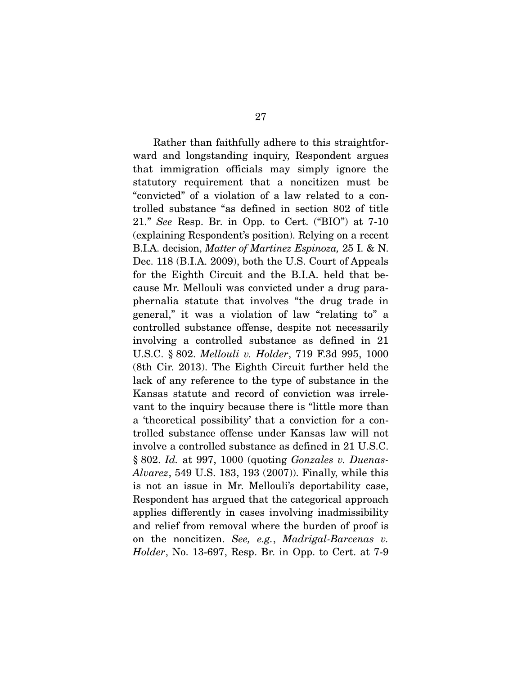Rather than faithfully adhere to this straightforward and longstanding inquiry, Respondent argues that immigration officials may simply ignore the statutory requirement that a noncitizen must be "convicted" of a violation of a law related to a controlled substance "as defined in section 802 of title 21." *See* Resp. Br. in Opp. to Cert. ("BIO") at 7-10 (explaining Respondent's position). Relying on a recent B.I.A. decision, *Matter of Martinez Espinoza,* 25 I. & N. Dec. 118 (B.I.A. 2009), both the U.S. Court of Appeals for the Eighth Circuit and the B.I.A. held that because Mr. Mellouli was convicted under a drug paraphernalia statute that involves "the drug trade in general," it was a violation of law "relating to" a controlled substance offense, despite not necessarily involving a controlled substance as defined in 21 U.S.C. § 802. *Mellouli v. Holder*, 719 F.3d 995, 1000 (8th Cir. 2013). The Eighth Circuit further held the lack of any reference to the type of substance in the Kansas statute and record of conviction was irrelevant to the inquiry because there is "little more than a 'theoretical possibility' that a conviction for a controlled substance offense under Kansas law will not involve a controlled substance as defined in 21 U.S.C. § 802. *Id.* at 997, 1000 (quoting *Gonzales v. Duenas-Alvarez*, 549 U.S. 183, 193 (2007)). Finally, while this is not an issue in Mr. Mellouli's deportability case, Respondent has argued that the categorical approach applies differently in cases involving inadmissibility and relief from removal where the burden of proof is on the noncitizen. *See, e.g.*, *Madrigal-Barcenas v. Holder*, No. 13-697, Resp. Br. in Opp. to Cert. at 7-9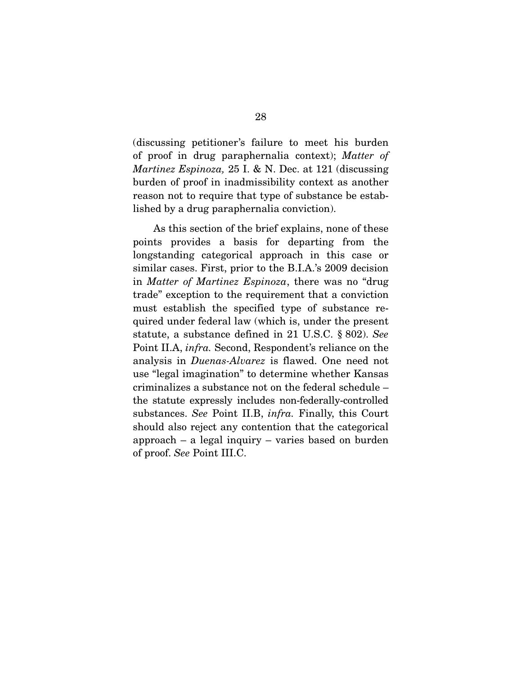(discussing petitioner's failure to meet his burden of proof in drug paraphernalia context); *Matter of Martinez Espinoza,* 25 I. & N. Dec. at 121 (discussing burden of proof in inadmissibility context as another reason not to require that type of substance be established by a drug paraphernalia conviction).

As this section of the brief explains, none of these points provides a basis for departing from the longstanding categorical approach in this case or similar cases. First, prior to the B.I.A.'s 2009 decision in *Matter of Martinez Espinoza*, there was no "drug trade" exception to the requirement that a conviction must establish the specified type of substance required under federal law (which is, under the present statute, a substance defined in 21 U.S.C. § 802). *See*  Point II.A, *infra.* Second, Respondent's reliance on the analysis in *Duenas-Alvarez* is flawed. One need not use "legal imagination" to determine whether Kansas criminalizes a substance not on the federal schedule – the statute expressly includes non-federally-controlled substances. *See* Point II.B, *infra.* Finally, this Court should also reject any contention that the categorical approach – a legal inquiry – varies based on burden of proof. *See* Point III.C.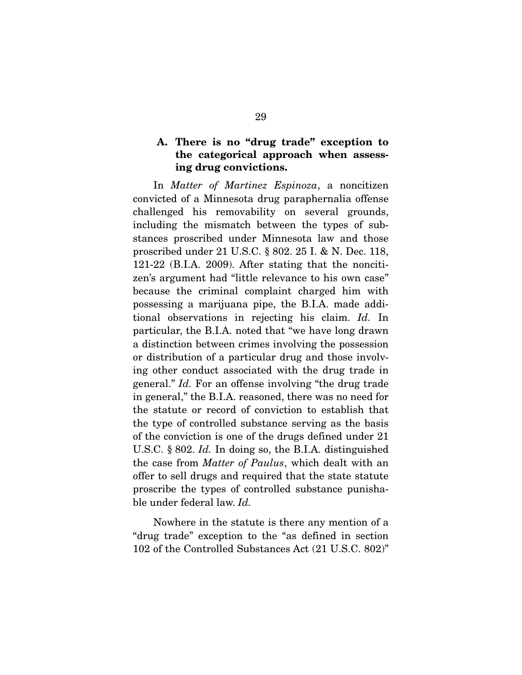### **A. There is no "drug trade" exception to the categorical approach when assessing drug convictions.**

 In *Matter of Martinez Espinoza*, a noncitizen convicted of a Minnesota drug paraphernalia offense challenged his removability on several grounds, including the mismatch between the types of substances proscribed under Minnesota law and those proscribed under 21 U.S.C. § 802. 25 I. & N. Dec. 118, 121-22 (B.I.A. 2009). After stating that the noncitizen's argument had "little relevance to his own case" because the criminal complaint charged him with possessing a marijuana pipe, the B.I.A. made additional observations in rejecting his claim. *Id.* In particular, the B.I.A. noted that "we have long drawn a distinction between crimes involving the possession or distribution of a particular drug and those involving other conduct associated with the drug trade in general." *Id.* For an offense involving "the drug trade in general," the B.I.A. reasoned, there was no need for the statute or record of conviction to establish that the type of controlled substance serving as the basis of the conviction is one of the drugs defined under 21 U.S.C. § 802. *Id.* In doing so, the B.I.A. distinguished the case from *Matter of Paulus*, which dealt with an offer to sell drugs and required that the state statute proscribe the types of controlled substance punishable under federal law. *Id.* 

Nowhere in the statute is there any mention of a "drug trade" exception to the "as defined in section 102 of the Controlled Substances Act (21 U.S.C. 802)"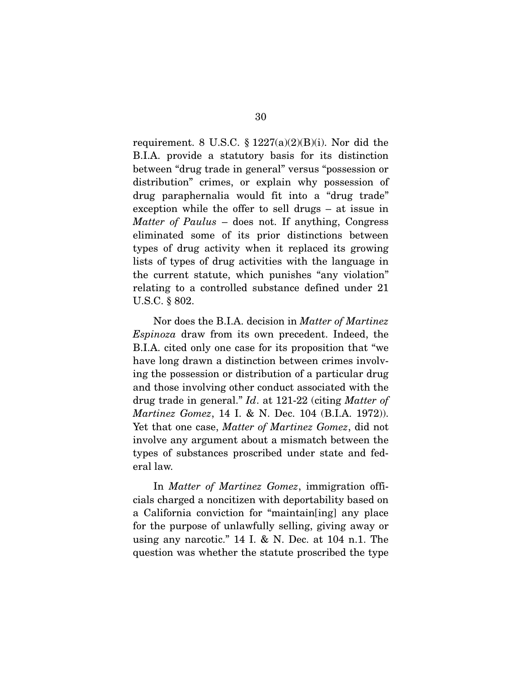requirement. 8 U.S.C.  $\S 1227(a)(2)(B)(i)$ . Nor did the B.I.A. provide a statutory basis for its distinction between "drug trade in general" versus "possession or distribution" crimes, or explain why possession of drug paraphernalia would fit into a "drug trade" exception while the offer to sell drugs – at issue in *Matter of Paulus* – does not. If anything, Congress eliminated some of its prior distinctions between types of drug activity when it replaced its growing lists of types of drug activities with the language in the current statute, which punishes "any violation" relating to a controlled substance defined under 21 U.S.C. § 802.

 Nor does the B.I.A. decision in *Matter of Martinez Espinoza* draw from its own precedent. Indeed, the B.I.A. cited only one case for its proposition that "we have long drawn a distinction between crimes involving the possession or distribution of a particular drug and those involving other conduct associated with the drug trade in general." *Id*. at 121-22 (citing *Matter of Martinez Gomez*, 14 I. & N. Dec. 104 (B.I.A. 1972)). Yet that one case, *Matter of Martinez Gomez*, did not involve any argument about a mismatch between the types of substances proscribed under state and federal law.

 In *Matter of Martinez Gomez*, immigration officials charged a noncitizen with deportability based on a California conviction for "maintain[ing] any place for the purpose of unlawfully selling, giving away or using any narcotic." 14 I. & N. Dec. at 104 n.1. The question was whether the statute proscribed the type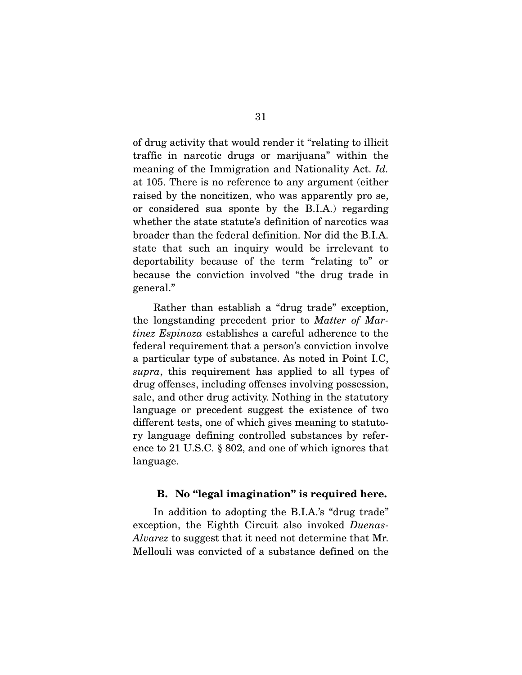of drug activity that would render it "relating to illicit traffic in narcotic drugs or marijuana" within the meaning of the Immigration and Nationality Act. *Id.*  at 105. There is no reference to any argument (either raised by the noncitizen, who was apparently pro se, or considered sua sponte by the B.I.A.) regarding whether the state statute's definition of narcotics was broader than the federal definition. Nor did the B.I.A. state that such an inquiry would be irrelevant to deportability because of the term "relating to" or because the conviction involved "the drug trade in general."

 Rather than establish a "drug trade" exception, the longstanding precedent prior to *Matter of Martinez Espinoza* establishes a careful adherence to the federal requirement that a person's conviction involve a particular type of substance. As noted in Point I.C, *supra*, this requirement has applied to all types of drug offenses, including offenses involving possession, sale, and other drug activity. Nothing in the statutory language or precedent suggest the existence of two different tests, one of which gives meaning to statutory language defining controlled substances by reference to 21 U.S.C. § 802, and one of which ignores that language.

### **B. No "legal imagination" is required here.**

 In addition to adopting the B.I.A.'s "drug trade" exception, the Eighth Circuit also invoked *Duenas-Alvarez* to suggest that it need not determine that Mr. Mellouli was convicted of a substance defined on the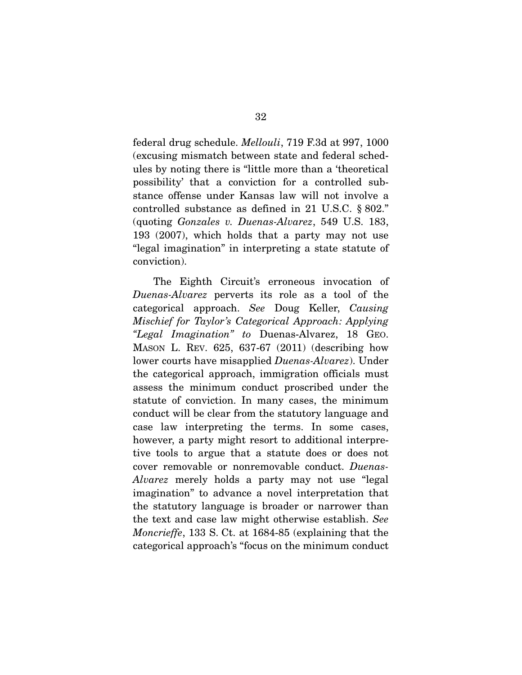federal drug schedule. *Mellouli*, 719 F.3d at 997, 1000 (excusing mismatch between state and federal schedules by noting there is "little more than a 'theoretical possibility' that a conviction for a controlled substance offense under Kansas law will not involve a controlled substance as defined in 21 U.S.C. § 802." (quoting *Gonzales v. Duenas-Alvarez*, 549 U.S. 183, 193 (2007), which holds that a party may not use "legal imagination" in interpreting a state statute of conviction).

 The Eighth Circuit's erroneous invocation of *Duenas-Alvarez* perverts its role as a tool of the categorical approach. *See* Doug Keller, *Causing Mischief for Taylor's Categorical Approach: Applying "Legal Imagination" to* Duenas-Alvarez, 18 GEO. MASON L. REV. 625, 637-67 (2011) (describing how lower courts have misapplied *Duenas-Alvarez*). Under the categorical approach, immigration officials must assess the minimum conduct proscribed under the statute of conviction. In many cases, the minimum conduct will be clear from the statutory language and case law interpreting the terms. In some cases, however, a party might resort to additional interpretive tools to argue that a statute does or does not cover removable or nonremovable conduct. *Duenas-Alvarez* merely holds a party may not use "legal imagination" to advance a novel interpretation that the statutory language is broader or narrower than the text and case law might otherwise establish. *See Moncrieffe*, 133 S. Ct. at 1684-85 (explaining that the categorical approach's "focus on the minimum conduct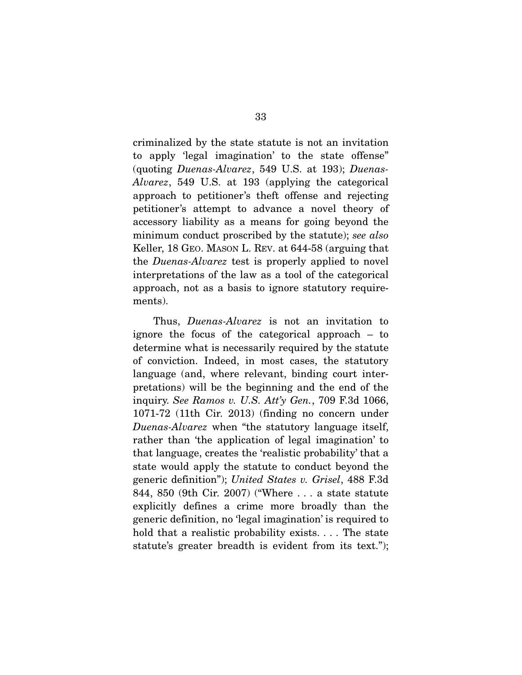criminalized by the state statute is not an invitation to apply 'legal imagination' to the state offense" (quoting *Duenas-Alvarez*, 549 U.S. at 193); *Duenas-Alvarez*, 549 U.S. at 193 (applying the categorical approach to petitioner's theft offense and rejecting petitioner's attempt to advance a novel theory of accessory liability as a means for going beyond the minimum conduct proscribed by the statute); *see also*  Keller, 18 GEO. MASON L. REV. at 644-58 (arguing that the *Duenas-Alvarez* test is properly applied to novel interpretations of the law as a tool of the categorical approach, not as a basis to ignore statutory requirements).

 Thus, *Duenas-Alvarez* is not an invitation to ignore the focus of the categorical approach – to determine what is necessarily required by the statute of conviction. Indeed, in most cases, the statutory language (and, where relevant, binding court interpretations) will be the beginning and the end of the inquiry. *See Ramos v. U.S. Att'y Gen.*, 709 F.3d 1066, 1071-72 (11th Cir. 2013) (finding no concern under *Duenas-Alvarez* when "the statutory language itself, rather than 'the application of legal imagination' to that language, creates the 'realistic probability' that a state would apply the statute to conduct beyond the generic definition"); *United States v. Grisel*, 488 F.3d 844, 850 (9th Cir. 2007) ("Where . . . a state statute explicitly defines a crime more broadly than the generic definition, no 'legal imagination' is required to hold that a realistic probability exists.... The state statute's greater breadth is evident from its text.");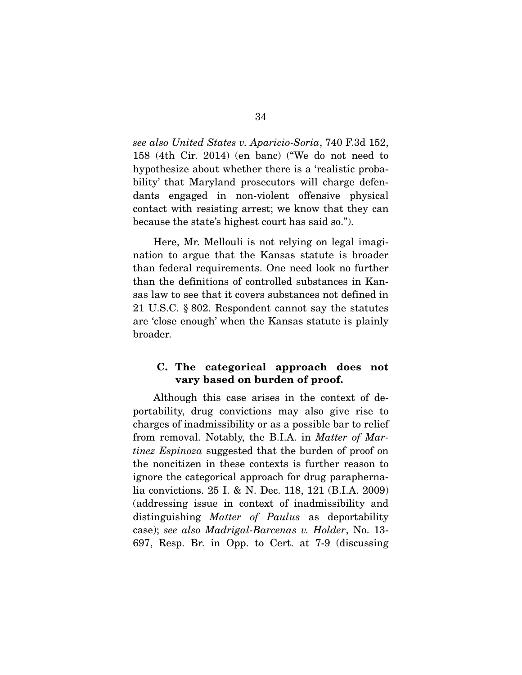*see also United States v. Aparicio-Soria*, 740 F.3d 152, 158 (4th Cir. 2014) (en banc) ("We do not need to hypothesize about whether there is a 'realistic probability' that Maryland prosecutors will charge defendants engaged in non-violent offensive physical contact with resisting arrest; we know that they can because the state's highest court has said so.").

 Here, Mr. Mellouli is not relying on legal imagination to argue that the Kansas statute is broader than federal requirements. One need look no further than the definitions of controlled substances in Kansas law to see that it covers substances not defined in 21 U.S.C. § 802. Respondent cannot say the statutes are 'close enough' when the Kansas statute is plainly broader.

### **C. The categorical approach does not vary based on burden of proof.**

 Although this case arises in the context of deportability, drug convictions may also give rise to charges of inadmissibility or as a possible bar to relief from removal. Notably, the B.I.A. in *Matter of Martinez Espinoza* suggested that the burden of proof on the noncitizen in these contexts is further reason to ignore the categorical approach for drug paraphernalia convictions. 25 I. & N. Dec. 118, 121 (B.I.A. 2009) (addressing issue in context of inadmissibility and distinguishing *Matter of Paulus* as deportability case); *see also Madrigal-Barcenas v. Holder*, No. 13- 697, Resp. Br. in Opp. to Cert. at 7-9 (discussing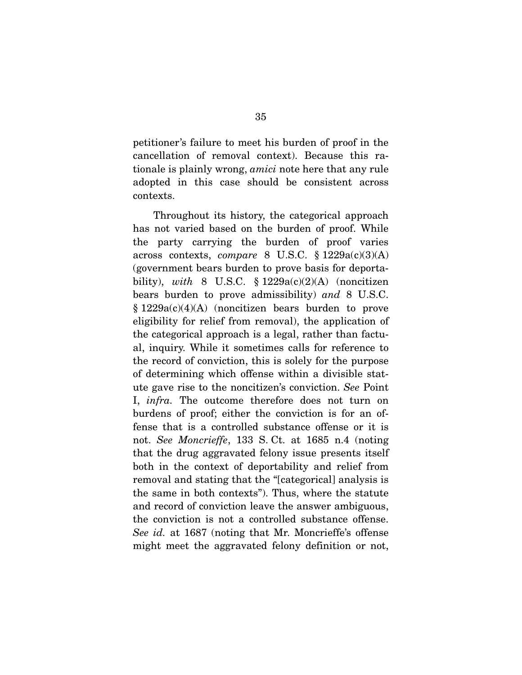petitioner's failure to meet his burden of proof in the cancellation of removal context). Because this rationale is plainly wrong, *amici* note here that any rule adopted in this case should be consistent across contexts.

 Throughout its history, the categorical approach has not varied based on the burden of proof. While the party carrying the burden of proof varies across contexts, *compare* 8 U.S.C. § 1229a(c)(3)(A) (government bears burden to prove basis for deportability), *with* 8 U.S.C.  $\S 1229a(c)(2)(A)$  (noncitizen bears burden to prove admissibility) *and* 8 U.S.C.  $§ 1229a(c)(4)(A)$  (noncitizen bears burden to prove eligibility for relief from removal), the application of the categorical approach is a legal, rather than factual, inquiry. While it sometimes calls for reference to the record of conviction, this is solely for the purpose of determining which offense within a divisible statute gave rise to the noncitizen's conviction. *See* Point I, *infra.* The outcome therefore does not turn on burdens of proof; either the conviction is for an offense that is a controlled substance offense or it is not. *See Moncrieffe*, 133 S. Ct. at 1685 n.4 (noting that the drug aggravated felony issue presents itself both in the context of deportability and relief from removal and stating that the "[categorical] analysis is the same in both contexts"). Thus, where the statute and record of conviction leave the answer ambiguous, the conviction is not a controlled substance offense. *See id.* at 1687 (noting that Mr. Moncrieffe's offense might meet the aggravated felony definition or not,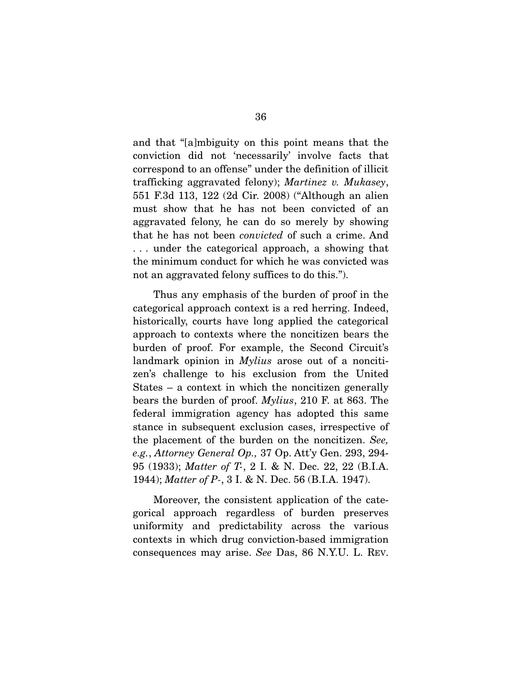and that "[a]mbiguity on this point means that the conviction did not 'necessarily' involve facts that correspond to an offense" under the definition of illicit trafficking aggravated felony); *Martinez v. Mukasey*, 551 F.3d 113, 122 (2d Cir. 2008) ("Although an alien must show that he has not been convicted of an aggravated felony, he can do so merely by showing that he has not been *convicted* of such a crime. And . . . under the categorical approach, a showing that the minimum conduct for which he was convicted was not an aggravated felony suffices to do this.").

 Thus any emphasis of the burden of proof in the categorical approach context is a red herring. Indeed, historically, courts have long applied the categorical approach to contexts where the noncitizen bears the burden of proof. For example, the Second Circuit's landmark opinion in *Mylius* arose out of a noncitizen's challenge to his exclusion from the United States – a context in which the noncitizen generally bears the burden of proof. *Mylius*, 210 F. at 863. The federal immigration agency has adopted this same stance in subsequent exclusion cases, irrespective of the placement of the burden on the noncitizen. *See, e.g.*, *Attorney General Op.,* 37 Op. Att'y Gen. 293, 294- 95 (1933); *Matter of T-*, 2 I. & N. Dec. 22, 22 (B.I.A. 1944); *Matter of P-*, 3 I. & N. Dec. 56 (B.I.A. 1947).

 Moreover, the consistent application of the categorical approach regardless of burden preserves uniformity and predictability across the various contexts in which drug conviction-based immigration consequences may arise. *See* Das, 86 N.Y.U. L. REV.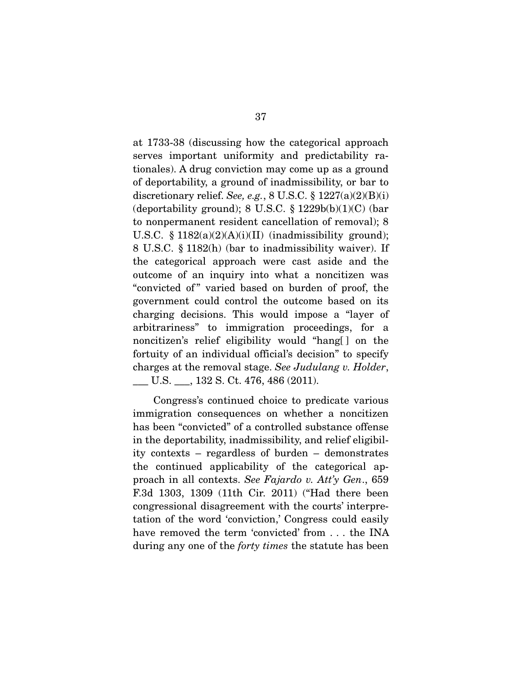at 1733-38 (discussing how the categorical approach serves important uniformity and predictability rationales). A drug conviction may come up as a ground of deportability, a ground of inadmissibility, or bar to discretionary relief. *See, e.g.*, 8 U.S.C. § 1227(a)(2)(B)(i) (deportability ground); 8 U.S.C.  $\S 1229b(b)(1)(C)$  (bar to nonpermanent resident cancellation of removal); 8 U.S.C.  $\S$  1182(a)(2)(A)(i)(II) (inadmissibility ground); 8 U.S.C. § 1182(h) (bar to inadmissibility waiver). If the categorical approach were cast aside and the outcome of an inquiry into what a noncitizen was "convicted of" varied based on burden of proof, the government could control the outcome based on its charging decisions. This would impose a "layer of arbitrariness" to immigration proceedings, for a noncitizen's relief eligibility would "hang[ ] on the fortuity of an individual official's decision" to specify charges at the removal stage. *See Judulang v. Holder*, \_\_\_ U.S. \_\_\_, 132 S. Ct. 476, 486 (2011).

 Congress's continued choice to predicate various immigration consequences on whether a noncitizen has been "convicted" of a controlled substance offense in the deportability, inadmissibility, and relief eligibility contexts – regardless of burden – demonstrates the continued applicability of the categorical approach in all contexts. *See Fajardo v. Att'y Gen*., 659 F.3d 1303, 1309 (11th Cir. 2011) ("Had there been congressional disagreement with the courts' interpretation of the word 'conviction,' Congress could easily have removed the term 'convicted' from . . . the INA during any one of the *forty times* the statute has been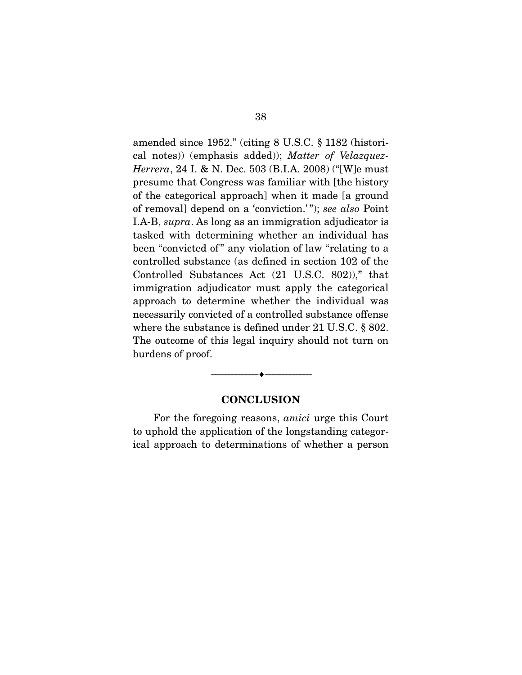amended since 1952." (citing 8 U.S.C. § 1182 (historical notes)) (emphasis added)); *Matter of Velazquez-Herrera*, 24 I. & N. Dec. 503 (B.I.A. 2008) ("[W]e must presume that Congress was familiar with [the history of the categorical approach] when it made [a ground of removal] depend on a 'conviction.' "); *see also* Point I.A-B, *supra*. As long as an immigration adjudicator is tasked with determining whether an individual has been "convicted of" any violation of law "relating to a controlled substance (as defined in section 102 of the Controlled Substances Act (21 U.S.C. 802))," that immigration adjudicator must apply the categorical approach to determine whether the individual was necessarily convicted of a controlled substance offense where the substance is defined under 21 U.S.C. § 802. The outcome of this legal inquiry should not turn on burdens of proof.

#### **CONCLUSION**

--------------------------------- ---------------------------------

 For the foregoing reasons, *amici* urge this Court to uphold the application of the longstanding categorical approach to determinations of whether a person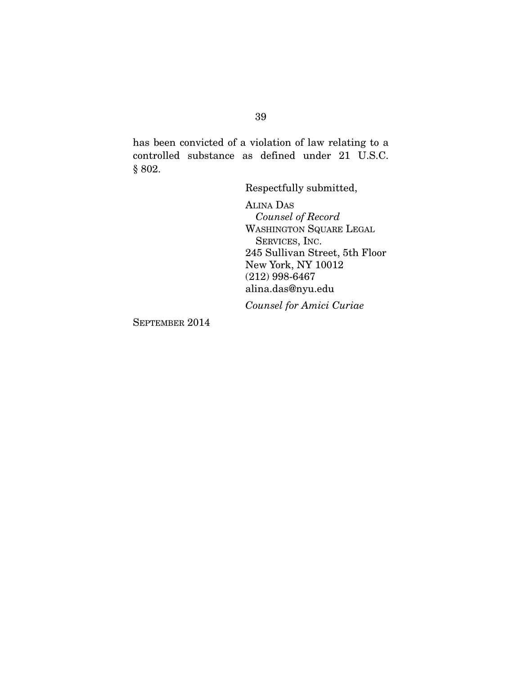has been convicted of a violation of law relating to a controlled substance as defined under 21 U.S.C. § 802.

Respectfully submitted,

ALINA DAS  *Counsel of Record*  WASHINGTON SQUARE LEGAL SERVICES, INC. 245 Sullivan Street, 5th Floor New York, NY 10012 (212) 998-6467 alina.das@nyu.edu

*Counsel for Amici Curiae* 

SEPTEMBER 2014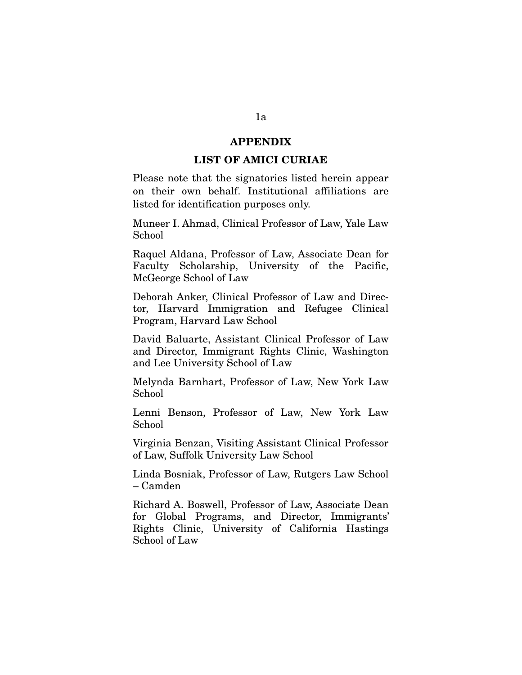#### **APPENDIX**

#### **LIST OF AMICI CURIAE**

Please note that the signatories listed herein appear on their own behalf. Institutional affiliations are listed for identification purposes only.

Muneer I. Ahmad, Clinical Professor of Law, Yale Law School

Raquel Aldana, Professor of Law, Associate Dean for Faculty Scholarship, University of the Pacific, McGeorge School of Law

Deborah Anker, Clinical Professor of Law and Director, Harvard Immigration and Refugee Clinical Program, Harvard Law School

David Baluarte, Assistant Clinical Professor of Law and Director, Immigrant Rights Clinic, Washington and Lee University School of Law

Melynda Barnhart, Professor of Law, New York Law School

Lenni Benson, Professor of Law, New York Law School

Virginia Benzan, Visiting Assistant Clinical Professor of Law, Suffolk University Law School

Linda Bosniak, Professor of Law, Rutgers Law School – Camden

Richard A. Boswell, Professor of Law, Associate Dean for Global Programs, and Director, Immigrants' Rights Clinic, University of California Hastings School of Law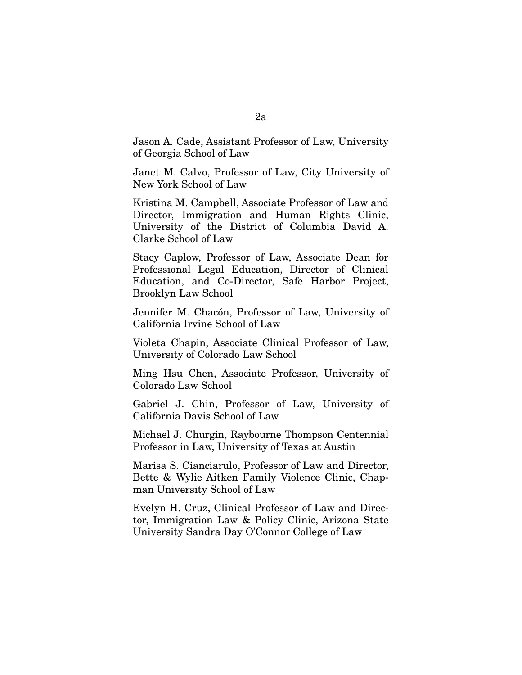Jason A. Cade, Assistant Professor of Law, University of Georgia School of Law

Janet M. Calvo, Professor of Law, City University of New York School of Law

Kristina M. Campbell, Associate Professor of Law and Director, Immigration and Human Rights Clinic, University of the District of Columbia David A. Clarke School of Law

Stacy Caplow, Professor of Law, Associate Dean for Professional Legal Education, Director of Clinical Education, and Co-Director, Safe Harbor Project, Brooklyn Law School

Jennifer M. Chacón, Professor of Law, University of California Irvine School of Law

Violeta Chapin, Associate Clinical Professor of Law, University of Colorado Law School

Ming Hsu Chen, Associate Professor, University of Colorado Law School

Gabriel J. Chin, Professor of Law, University of California Davis School of Law

Michael J. Churgin, Raybourne Thompson Centennial Professor in Law, University of Texas at Austin

Marisa S. Cianciarulo, Professor of Law and Director, Bette & Wylie Aitken Family Violence Clinic, Chapman University School of Law

Evelyn H. Cruz, Clinical Professor of Law and Director, Immigration Law & Policy Clinic, Arizona State University Sandra Day O'Connor College of Law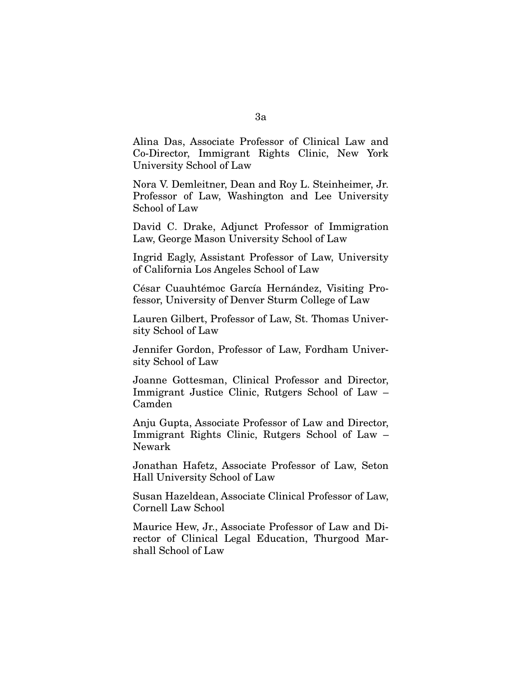Alina Das, Associate Professor of Clinical Law and Co-Director, Immigrant Rights Clinic, New York University School of Law

Nora V. Demleitner, Dean and Roy L. Steinheimer, Jr. Professor of Law, Washington and Lee University School of Law

David C. Drake, Adjunct Professor of Immigration Law, George Mason University School of Law

Ingrid Eagly, Assistant Professor of Law, University of California Los Angeles School of Law

César Cuauhtémoc García Hernández, Visiting Professor, University of Denver Sturm College of Law

Lauren Gilbert, Professor of Law, St. Thomas University School of Law

Jennifer Gordon, Professor of Law, Fordham University School of Law

Joanne Gottesman, Clinical Professor and Director, Immigrant Justice Clinic, Rutgers School of Law – Camden

Anju Gupta, Associate Professor of Law and Director, Immigrant Rights Clinic, Rutgers School of Law – Newark

Jonathan Hafetz, Associate Professor of Law, Seton Hall University School of Law

Susan Hazeldean, Associate Clinical Professor of Law, Cornell Law School

Maurice Hew, Jr., Associate Professor of Law and Director of Clinical Legal Education, Thurgood Marshall School of Law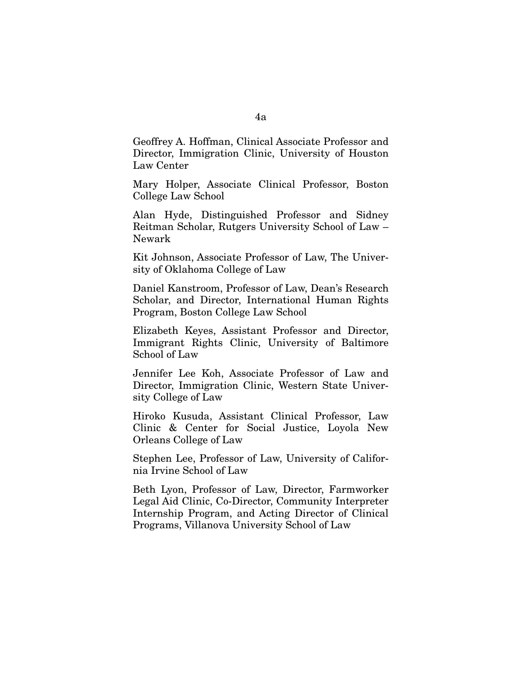Geoffrey A. Hoffman, Clinical Associate Professor and Director, Immigration Clinic, University of Houston Law Center

Mary Holper, Associate Clinical Professor, Boston College Law School

Alan Hyde, Distinguished Professor and Sidney Reitman Scholar, Rutgers University School of Law – Newark

Kit Johnson, Associate Professor of Law, The University of Oklahoma College of Law

Daniel Kanstroom, Professor of Law, Dean's Research Scholar, and Director, International Human Rights Program, Boston College Law School

Elizabeth Keyes, Assistant Professor and Director, Immigrant Rights Clinic, University of Baltimore School of Law

Jennifer Lee Koh, Associate Professor of Law and Director, Immigration Clinic, Western State University College of Law

Hiroko Kusuda, Assistant Clinical Professor, Law Clinic & Center for Social Justice, Loyola New Orleans College of Law

Stephen Lee, Professor of Law, University of California Irvine School of Law

Beth Lyon, Professor of Law, Director, Farmworker Legal Aid Clinic, Co-Director, Community Interpreter Internship Program, and Acting Director of Clinical Programs, Villanova University School of Law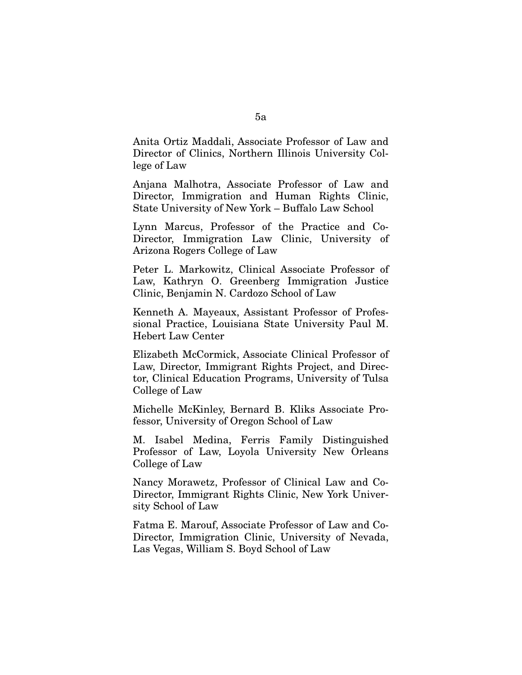Anita Ortiz Maddali, Associate Professor of Law and Director of Clinics, Northern Illinois University College of Law

Anjana Malhotra, Associate Professor of Law and Director, Immigration and Human Rights Clinic, State University of New York – Buffalo Law School

Lynn Marcus, Professor of the Practice and Co-Director, Immigration Law Clinic, University of Arizona Rogers College of Law

Peter L. Markowitz, Clinical Associate Professor of Law, Kathryn O. Greenberg Immigration Justice Clinic, Benjamin N. Cardozo School of Law

Kenneth A. Mayeaux, Assistant Professor of Professional Practice, Louisiana State University Paul M. Hebert Law Center

Elizabeth McCormick, Associate Clinical Professor of Law, Director, Immigrant Rights Project, and Director, Clinical Education Programs, University of Tulsa College of Law

Michelle McKinley, Bernard B. Kliks Associate Professor, University of Oregon School of Law

M. Isabel Medina, Ferris Family Distinguished Professor of Law, Loyola University New Orleans College of Law

Nancy Morawetz, Professor of Clinical Law and Co-Director, Immigrant Rights Clinic, New York University School of Law

Fatma E. Marouf, Associate Professor of Law and Co-Director, Immigration Clinic, University of Nevada, Las Vegas, William S. Boyd School of Law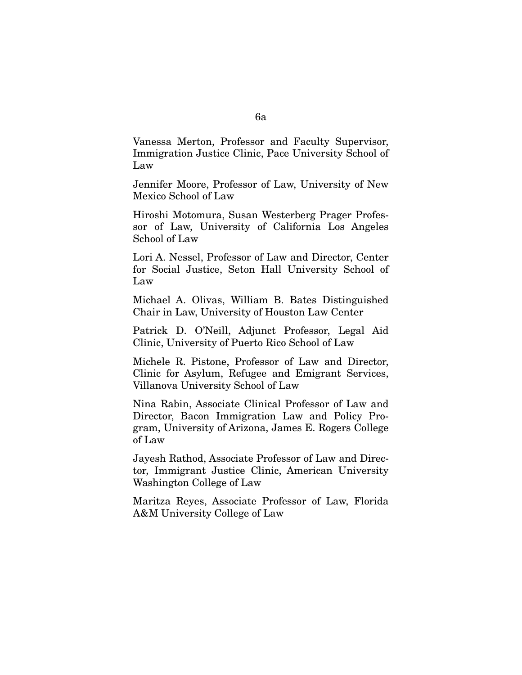Vanessa Merton, Professor and Faculty Supervisor, Immigration Justice Clinic, Pace University School of Law

Jennifer Moore, Professor of Law, University of New Mexico School of Law

Hiroshi Motomura, Susan Westerberg Prager Professor of Law, University of California Los Angeles School of Law

Lori A. Nessel, Professor of Law and Director, Center for Social Justice, Seton Hall University School of Law

Michael A. Olivas, William B. Bates Distinguished Chair in Law, University of Houston Law Center

Patrick D. O'Neill, Adjunct Professor, Legal Aid Clinic, University of Puerto Rico School of Law

Michele R. Pistone, Professor of Law and Director, Clinic for Asylum, Refugee and Emigrant Services, Villanova University School of Law

Nina Rabin, Associate Clinical Professor of Law and Director, Bacon Immigration Law and Policy Program, University of Arizona, James E. Rogers College of Law

Jayesh Rathod, Associate Professor of Law and Director, Immigrant Justice Clinic, American University Washington College of Law

Maritza Reyes, Associate Professor of Law, Florida A&M University College of Law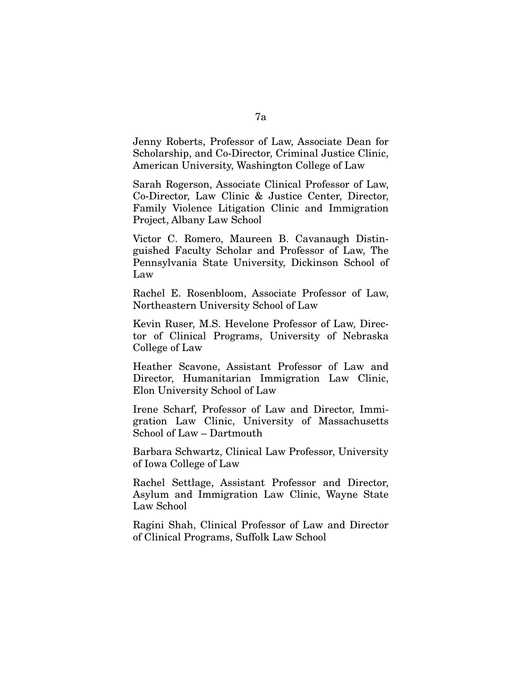Jenny Roberts, Professor of Law, Associate Dean for Scholarship, and Co-Director, Criminal Justice Clinic, American University, Washington College of Law

Sarah Rogerson, Associate Clinical Professor of Law, Co-Director, Law Clinic & Justice Center, Director, Family Violence Litigation Clinic and Immigration Project, Albany Law School

Victor C. Romero, Maureen B. Cavanaugh Distinguished Faculty Scholar and Professor of Law, The Pennsylvania State University, Dickinson School of Law

Rachel E. Rosenbloom, Associate Professor of Law, Northeastern University School of Law

Kevin Ruser, M.S. Hevelone Professor of Law, Director of Clinical Programs, University of Nebraska College of Law

Heather Scavone, Assistant Professor of Law and Director, Humanitarian Immigration Law Clinic, Elon University School of Law

Irene Scharf, Professor of Law and Director, Immigration Law Clinic, University of Massachusetts School of Law – Dartmouth

Barbara Schwartz, Clinical Law Professor, University of Iowa College of Law

Rachel Settlage, Assistant Professor and Director, Asylum and Immigration Law Clinic, Wayne State Law School

Ragini Shah, Clinical Professor of Law and Director of Clinical Programs, Suffolk Law School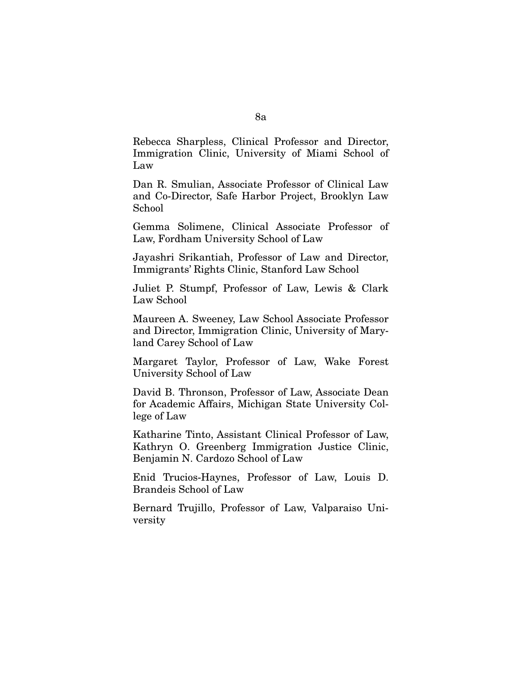Rebecca Sharpless, Clinical Professor and Director, Immigration Clinic, University of Miami School of Law

Dan R. Smulian, Associate Professor of Clinical Law and Co-Director, Safe Harbor Project, Brooklyn Law School

Gemma Solimene, Clinical Associate Professor of Law, Fordham University School of Law

Jayashri Srikantiah, Professor of Law and Director, Immigrants' Rights Clinic, Stanford Law School

Juliet P. Stumpf, Professor of Law, Lewis & Clark Law School

Maureen A. Sweeney, Law School Associate Professor and Director, Immigration Clinic, University of Maryland Carey School of Law

Margaret Taylor, Professor of Law, Wake Forest University School of Law

David B. Thronson, Professor of Law, Associate Dean for Academic Affairs, Michigan State University College of Law

Katharine Tinto, Assistant Clinical Professor of Law, Kathryn O. Greenberg Immigration Justice Clinic, Benjamin N. Cardozo School of Law

Enid Trucios-Haynes, Professor of Law, Louis D. Brandeis School of Law

Bernard Trujillo, Professor of Law, Valparaiso University